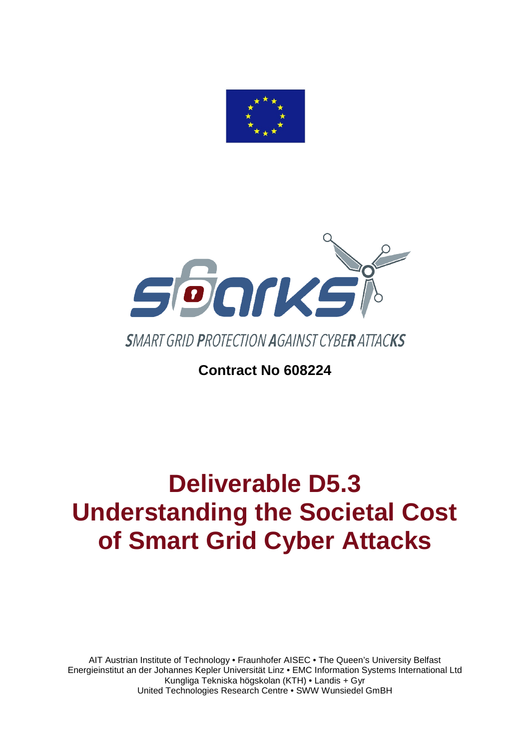



**Contract No 608224**

# **Deliverable D5.3 Understanding the Societal Cost of Smart Grid Cyber Attacks**

AIT Austrian Institute of Technology • Fraunhofer AISEC • The Queen's University Belfast Energieinstitut an der Johannes Kepler Universität Linz • EMC Information Systems International Ltd Kungliga Tekniska högskolan (KTH) • Landis + Gyr United Technologies Research Centre • SWW Wunsiedel GmBH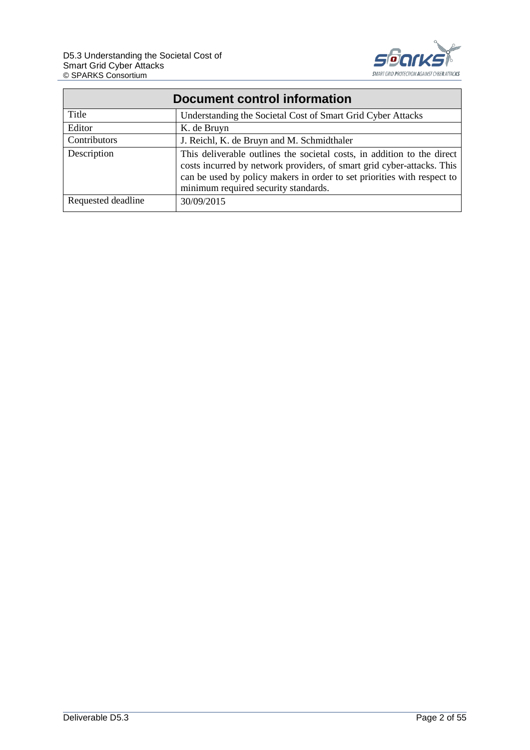

| Document control information |                                                                                                                                                                                                                                                                      |  |  |  |
|------------------------------|----------------------------------------------------------------------------------------------------------------------------------------------------------------------------------------------------------------------------------------------------------------------|--|--|--|
| Title                        | Understanding the Societal Cost of Smart Grid Cyber Attacks                                                                                                                                                                                                          |  |  |  |
| Editor                       | K. de Bruyn                                                                                                                                                                                                                                                          |  |  |  |
| Contributors                 | J. Reichl, K. de Bruyn and M. Schmidthaler                                                                                                                                                                                                                           |  |  |  |
| Description                  | This deliverable outlines the societal costs, in addition to the direct<br>costs incurred by network providers, of smart grid cyber-attacks. This<br>can be used by policy makers in order to set priorities with respect to<br>minimum required security standards. |  |  |  |
| Requested deadline           | 30/09/2015                                                                                                                                                                                                                                                           |  |  |  |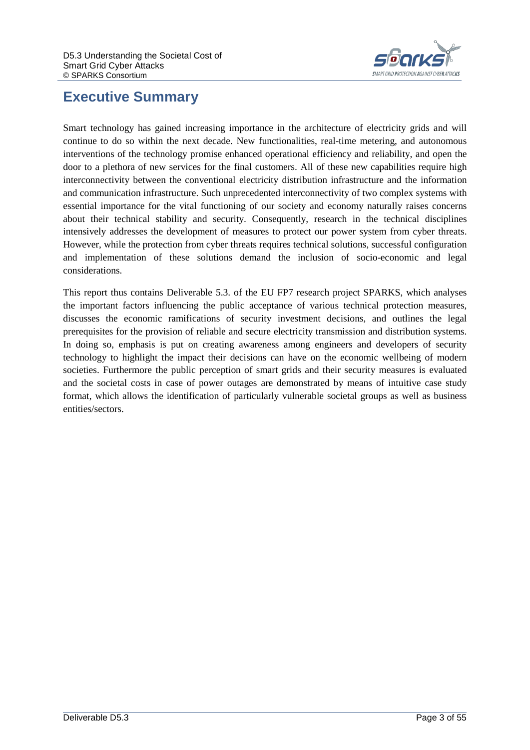

# <span id="page-2-0"></span>**Executive Summary**

Smart technology has gained increasing importance in the architecture of electricity grids and will continue to do so within the next decade. New functionalities, real-time metering, and autonomous interventions of the technology promise enhanced operational efficiency and reliability, and open the door to a plethora of new services for the final customers. All of these new capabilities require high interconnectivity between the conventional electricity distribution infrastructure and the information and communication infrastructure. Such unprecedented interconnectivity of two complex systems with essential importance for the vital functioning of our society and economy naturally raises concerns about their technical stability and security. Consequently, research in the technical disciplines intensively addresses the development of measures to protect our power system from cyber threats. However, while the protection from cyber threats requires technical solutions, successful configuration and implementation of these solutions demand the inclusion of socio-economic and legal considerations.

This report thus contains Deliverable 5.3. of the EU FP7 research project SPARKS, which analyses the important factors influencing the public acceptance of various technical protection measures, discusses the economic ramifications of security investment decisions, and outlines the legal prerequisites for the provision of reliable and secure electricity transmission and distribution systems. In doing so, emphasis is put on creating awareness among engineers and developers of security technology to highlight the impact their decisions can have on the economic wellbeing of modern societies. Furthermore the public perception of smart grids and their security measures is evaluated and the societal costs in case of power outages are demonstrated by means of intuitive case study format, which allows the identification of particularly vulnerable societal groups as well as business entities/sectors.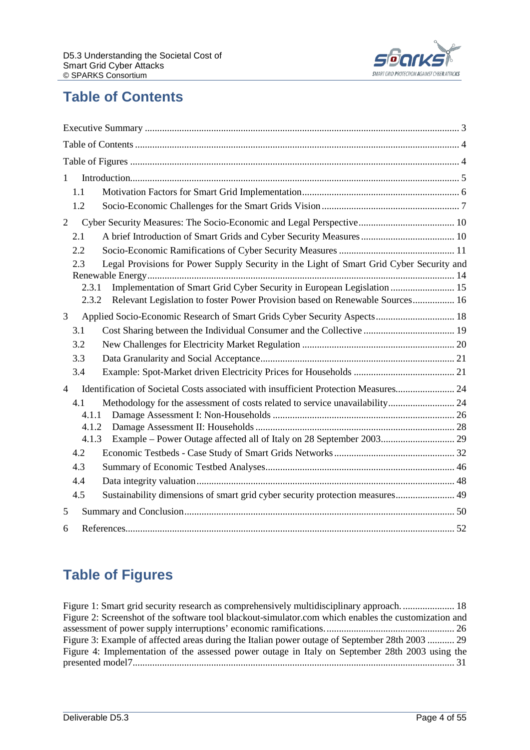

# <span id="page-3-0"></span>**Table of Contents**

| 1              |                |                                                                                          |  |
|----------------|----------------|------------------------------------------------------------------------------------------|--|
|                | 1.1            |                                                                                          |  |
|                | 1.2            |                                                                                          |  |
| $\overline{2}$ |                |                                                                                          |  |
|                | 2.1            |                                                                                          |  |
|                | 2.2            |                                                                                          |  |
|                | 2.3            | Legal Provisions for Power Supply Security in the Light of Smart Grid Cyber Security and |  |
|                | 2.3.1          | Implementation of Smart Grid Cyber Security in European Legislation  15                  |  |
|                | 2.3.2          | Relevant Legislation to foster Power Provision based on Renewable Sources 16             |  |
| 3              |                | Applied Socio-Economic Research of Smart Grids Cyber Security Aspects 18                 |  |
|                | 3.1            |                                                                                          |  |
|                | 3.2            |                                                                                          |  |
|                | 3.3            |                                                                                          |  |
|                | 3.4            |                                                                                          |  |
| $\overline{4}$ |                | Identification of Societal Costs associated with insufficient Protection Measures 24     |  |
|                | 4.1            |                                                                                          |  |
|                | 4.1.1          |                                                                                          |  |
|                | 4.1.2<br>4.1.3 |                                                                                          |  |
|                | 4.2            |                                                                                          |  |
|                | 4.3            |                                                                                          |  |
|                | 4.4            |                                                                                          |  |
|                | 4.5            | Sustainability dimensions of smart grid cyber security protection measures 49            |  |
| 5              |                |                                                                                          |  |
| 6              |                |                                                                                          |  |
|                |                |                                                                                          |  |

# <span id="page-3-1"></span>**Table of Figures**

| Figure 1: Smart grid security research as comprehensively multidisciplinary approach 18              |  |
|------------------------------------------------------------------------------------------------------|--|
| Figure 2: Screenshot of the software tool blackout-simulator.com which enables the customization and |  |
|                                                                                                      |  |
| Figure 3: Example of affected areas during the Italian power outage of September 28th 2003 29        |  |
| Figure 4: Implementation of the assessed power outage in Italy on September 28th 2003 using the      |  |
|                                                                                                      |  |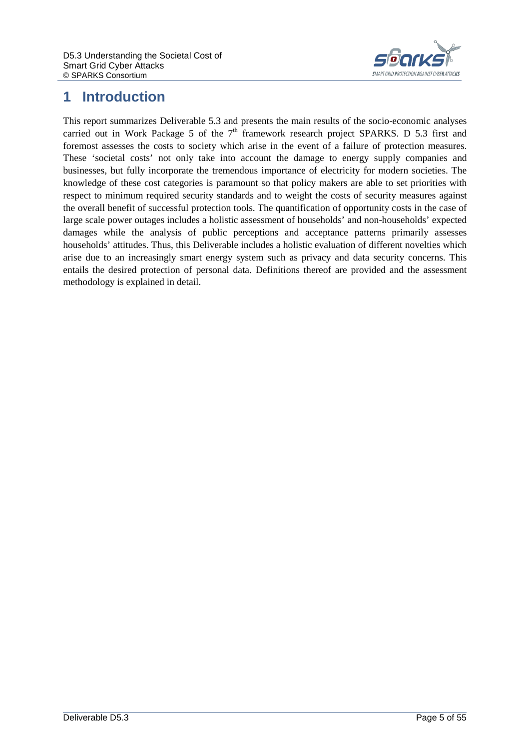

# <span id="page-4-0"></span>**1 Introduction**

This report summarizes Deliverable 5.3 and presents the main results of the socio-economic analyses carried out in Work Package 5 of the  $7<sup>th</sup>$  framework research project SPARKS. D 5.3 first and foremost assesses the costs to society which arise in the event of a failure of protection measures. These 'societal costs' not only take into account the damage to energy supply companies and businesses, but fully incorporate the tremendous importance of electricity for modern societies. The knowledge of these cost categories is paramount so that policy makers are able to set priorities with respect to minimum required security standards and to weight the costs of security measures against the overall benefit of successful protection tools. The quantification of opportunity costs in the case of large scale power outages includes a holistic assessment of households' and non-households' expected damages while the analysis of public perceptions and acceptance patterns primarily assesses households' attitudes. Thus, this Deliverable includes a holistic evaluation of different novelties which arise due to an increasingly smart energy system such as privacy and data security concerns. This entails the desired protection of personal data. Definitions thereof are provided and the assessment methodology is explained in detail.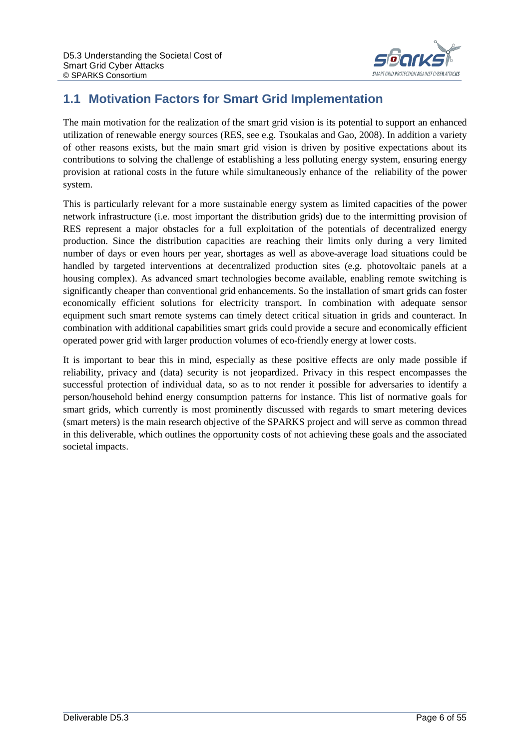

# <span id="page-5-0"></span>**1.1 Motivation Factors for Smart Grid Implementation**

The main motivation for the realization of the smart grid vision is its potential to support an enhanced utilization of renewable energy sources (RES, see e.g. Tsoukalas and Gao, 2008). In addition a variety of other reasons exists, but the main smart grid vision is driven by positive expectations about its contributions to solving the challenge of establishing a less polluting energy system, ensuring energy provision at rational costs in the future while simultaneously enhance of the reliability of the power system.

This is particularly relevant for a more sustainable energy system as limited capacities of the power network infrastructure (i.e. most important the distribution grids) due to the intermitting provision of RES represent a major obstacles for a full exploitation of the potentials of decentralized energy production. Since the distribution capacities are reaching their limits only during a very limited number of days or even hours per year, shortages as well as above-average load situations could be handled by targeted interventions at decentralized production sites (e.g. photovoltaic panels at a housing complex). As advanced smart technologies become available, enabling remote switching is significantly cheaper than conventional grid enhancements. So the installation of smart grids can foster economically efficient solutions for electricity transport. In combination with adequate sensor equipment such smart remote systems can timely detect critical situation in grids and counteract. In combination with additional capabilities smart grids could provide a secure and economically efficient operated power grid with larger production volumes of eco-friendly energy at lower costs.

It is important to bear this in mind, especially as these positive effects are only made possible if reliability, privacy and (data) security is not jeopardized. Privacy in this respect encompasses the successful protection of individual data, so as to not render it possible for adversaries to identify a person/household behind energy consumption patterns for instance. This list of normative goals for smart grids, which currently is most prominently discussed with regards to smart metering devices (smart meters) is the main research objective of the SPARKS project and will serve as common thread in this deliverable, which outlines the opportunity costs of not achieving these goals and the associated societal impacts.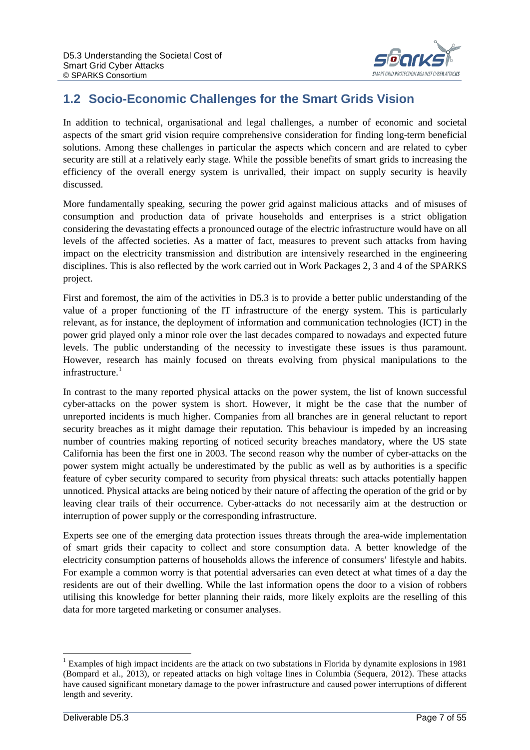

# <span id="page-6-0"></span>**1.2 Socio-Economic Challenges for the Smart Grids Vision**

In addition to technical, organisational and legal challenges, a number of economic and societal aspects of the smart grid vision require comprehensive consideration for finding long-term beneficial solutions. Among these challenges in particular the aspects which concern and are related to cyber security are still at a relatively early stage. While the possible benefits of smart grids to increasing the efficiency of the overall energy system is unrivalled, their impact on supply security is heavily discussed.

More fundamentally speaking, securing the power grid against malicious attacks and of misuses of consumption and production data of private households and enterprises is a strict obligation considering the devastating effects a pronounced outage of the electric infrastructure would have on all levels of the affected societies. As a matter of fact, measures to prevent such attacks from having impact on the electricity transmission and distribution are intensively researched in the engineering disciplines. This is also reflected by the work carried out in Work Packages 2, 3 and 4 of the SPARKS project.

First and foremost, the aim of the activities in D5.3 is to provide a better public understanding of the value of a proper functioning of the IT infrastructure of the energy system. This is particularly relevant, as for instance, the deployment of information and communication technologies (ICT) in the power grid played only a minor role over the last decades compared to nowadays and expected future levels. The public understanding of the necessity to investigate these issues is thus paramount. However, research has mainly focused on threats evolving from physical manipulations to the infrastructure.<sup>[1](#page-8-0)</sup>

In contrast to the many reported physical attacks on the power system, the list of known successful cyber-attacks on the power system is short. However, it might be the case that the number of unreported incidents is much higher. Companies from all branches are in general reluctant to report security breaches as it might damage their reputation. This behaviour is impeded by an increasing number of countries making reporting of noticed security breaches mandatory, where the US state California has been the first one in 2003. The second reason why the number of cyber-attacks on the power system might actually be underestimated by the public as well as by authorities is a specific feature of cyber security compared to security from physical threats: such attacks potentially happen unnoticed. Physical attacks are being noticed by their nature of affecting the operation of the grid or by leaving clear trails of their occurrence. Cyber-attacks do not necessarily aim at the destruction or interruption of power supply or the corresponding infrastructure.

Experts see one of the emerging data protection issues threats through the area-wide implementation of smart grids their capacity to collect and store consumption data. A better knowledge of the electricity consumption patterns of households allows the inference of consumers' lifestyle and habits. For example a common worry is that potential adversaries can even detect at what times of a day the residents are out of their dwelling. While the last information opens the door to a vision of robbers utilising this knowledge for better planning their raids, more likely exploits are the reselling of this data for more targeted marketing or consumer analyses.

 <sup>1</sup> Examples of high impact incidents are the attack on two substations in Florida by dynamite explosions in 1981 (Bompard et al., 2013), or repeated attacks on high voltage lines in Columbia (Sequera, 2012). These attacks have caused significant monetary damage to the power infrastructure and caused power interruptions of different length and severity.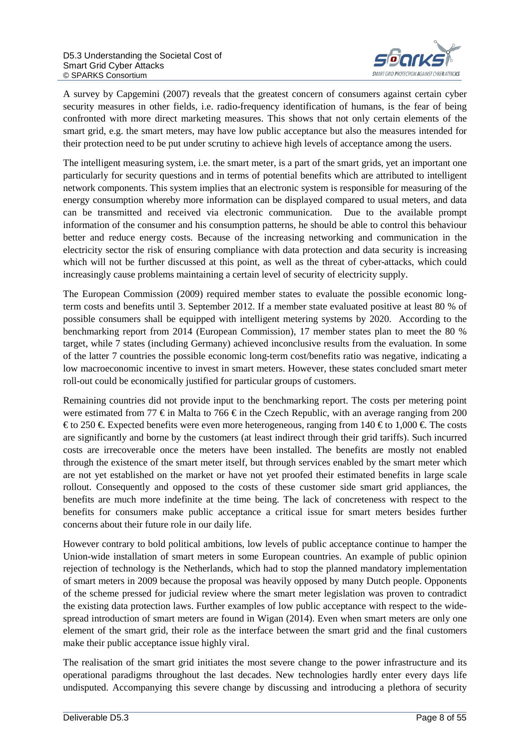

A survey by Capgemini (2007) reveals that the greatest concern of consumers against certain cyber security measures in other fields, i.e. radio-frequency identification of humans, is the fear of being confronted with more direct marketing measures. This shows that not only certain elements of the smart grid, e.g. the smart meters, may have low public acceptance but also the measures intended for their protection need to be put under scrutiny to achieve high levels of acceptance among the users.

The intelligent measuring system, i.e. the smart meter, is a part of the smart grids, yet an important one particularly for security questions and in terms of potential benefits which are attributed to intelligent network components. This system implies that an electronic system is responsible for measuring of the energy consumption whereby more information can be displayed compared to usual meters, and data can be transmitted and received via electronic communication. Due to the available prompt information of the consumer and his consumption patterns, he should be able to control this behaviour better and reduce energy costs. Because of the increasing networking and communication in the electricity sector the risk of ensuring compliance with data protection and data security is increasing which will not be further discussed at this point, as well as the threat of cyber-attacks, which could increasingly cause problems maintaining a certain level of security of electricity supply.

The European Commission (2009) required member states to evaluate the possible economic longterm costs and benefits until 3. September 2012. If a member state evaluated positive at least 80 % of possible consumers shall be equipped with intelligent metering systems by 2020. According to the benchmarking report from 2014 (European Commission), 17 member states plan to meet the 80 % target, while 7 states (including Germany) achieved inconclusive results from the evaluation. In some of the latter 7 countries the possible economic long-term cost/benefits ratio was negative, indicating a low macroeconomic incentive to invest in smart meters. However, these states concluded smart meter roll-out could be economically justified for particular groups of customers.

Remaining countries did not provide input to the benchmarking report. The costs per metering point were estimated from 77  $\epsilon$  in Malta to 766  $\epsilon$  in the Czech Republic, with an average ranging from 200 € to 250 €. Expected benefits were even more heterogeneous, ranging from 140 € to 1,000 €. The costs are significantly and borne by the customers (at least indirect through their grid tariffs). Such incurred costs are irrecoverable once the meters have been installed. The benefits are mostly not enabled through the existence of the smart meter itself, but through services enabled by the smart meter which are not yet established on the market or have not yet proofed their estimated benefits in large scale rollout. Consequently and opposed to the costs of these customer side smart grid appliances, the benefits are much more indefinite at the time being. The lack of concreteness with respect to the benefits for consumers make public acceptance a critical issue for smart meters besides further concerns about their future role in our daily life.

However contrary to bold political ambitions, low levels of public acceptance continue to hamper the Union-wide installation of smart meters in some European countries. An example of public opinion rejection of technology is the Netherlands, which had to stop the planned mandatory implementation of smart meters in 2009 because the proposal was heavily opposed by many Dutch people. Opponents of the scheme pressed for judicial review where the smart meter legislation was proven to contradict the existing data protection laws. Further examples of low public acceptance with respect to the widespread introduction of smart meters are found in Wigan (2014). Even when smart meters are only one element of the smart grid, their role as the interface between the smart grid and the final customers make their public acceptance issue highly viral.

The realisation of the smart grid initiates the most severe change to the power infrastructure and its operational paradigms throughout the last decades. New technologies hardly enter every days life undisputed. Accompanying this severe change by discussing and introducing a plethora of security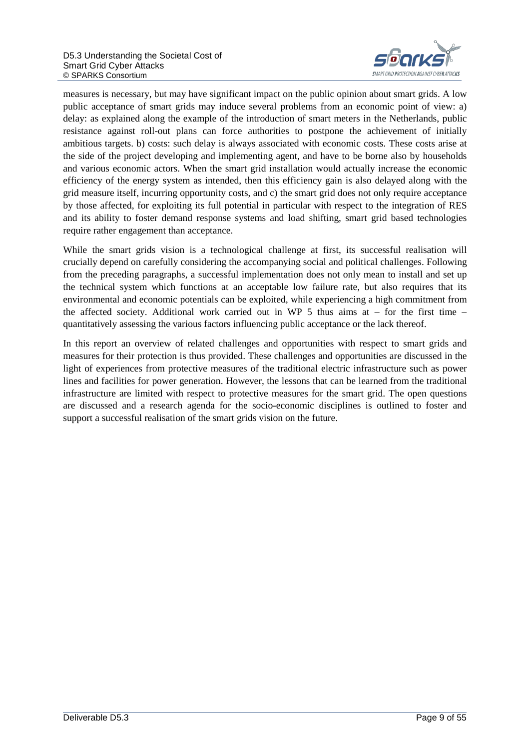

measures is necessary, but may have significant impact on the public opinion about smart grids. A low public acceptance of smart grids may induce several problems from an economic point of view: a) delay: as explained along the example of the introduction of smart meters in the Netherlands, public resistance against roll-out plans can force authorities to postpone the achievement of initially ambitious targets. b) costs: such delay is always associated with economic costs. These costs arise at the side of the project developing and implementing agent, and have to be borne also by households and various economic actors. When the smart grid installation would actually increase the economic efficiency of the energy system as intended, then this efficiency gain is also delayed along with the grid measure itself, incurring opportunity costs, and c) the smart grid does not only require acceptance by those affected, for exploiting its full potential in particular with respect to the integration of RES and its ability to foster demand response systems and load shifting, smart grid based technologies require rather engagement than acceptance.

While the smart grids vision is a technological challenge at first, its successful realisation will crucially depend on carefully considering the accompanying social and political challenges. Following from the preceding paragraphs, a successful implementation does not only mean to install and set up the technical system which functions at an acceptable low failure rate, but also requires that its environmental and economic potentials can be exploited, while experiencing a high commitment from the affected society. Additional work carried out in WP 5 thus aims at  $-$  for the first time  $$ quantitatively assessing the various factors influencing public acceptance or the lack thereof.

<span id="page-8-0"></span>In this report an overview of related challenges and opportunities with respect to smart grids and measures for their protection is thus provided. These challenges and opportunities are discussed in the light of experiences from protective measures of the traditional electric infrastructure such as power lines and facilities for power generation. However, the lessons that can be learned from the traditional infrastructure are limited with respect to protective measures for the smart grid. The open questions are discussed and a research agenda for the socio-economic disciplines is outlined to foster and support a successful realisation of the smart grids vision on the future.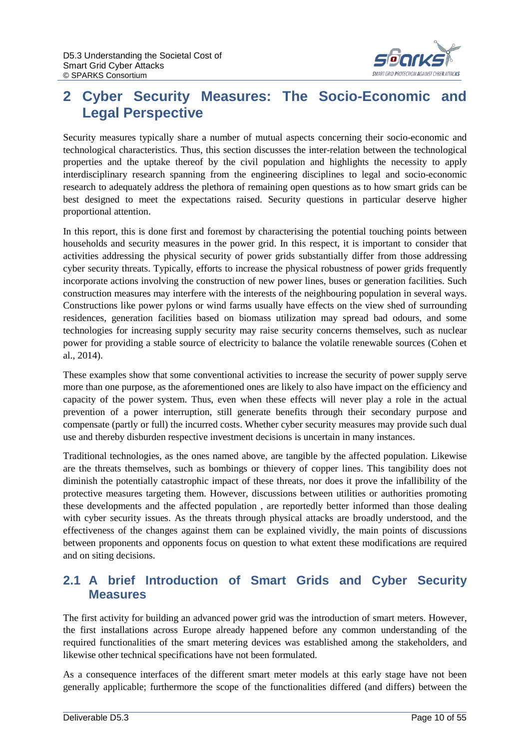

# <span id="page-9-0"></span>**2 Cyber Security Measures: The Socio-Economic and Legal Perspective**

Security measures typically share a number of mutual aspects concerning their socio-economic and technological characteristics. Thus, this section discusses the inter-relation between the technological properties and the uptake thereof by the civil population and highlights the necessity to apply interdisciplinary research spanning from the engineering disciplines to legal and socio-economic research to adequately address the plethora of remaining open questions as to how smart grids can be best designed to meet the expectations raised. Security questions in particular deserve higher proportional attention.

In this report, this is done first and foremost by characterising the potential touching points between households and security measures in the power grid. In this respect, it is important to consider that activities addressing the physical security of power grids substantially differ from those addressing cyber security threats. Typically, efforts to increase the physical robustness of power grids frequently incorporate actions involving the construction of new power lines, buses or generation facilities. Such construction measures may interfere with the interests of the neighbouring population in several ways. Constructions like power pylons or wind farms usually have effects on the view shed of surrounding residences, generation facilities based on biomass utilization may spread bad odours, and some technologies for increasing supply security may raise security concerns themselves, such as nuclear power for providing a stable source of electricity to balance the volatile renewable sources (Cohen et al., 2014).

These examples show that some conventional activities to increase the security of power supply serve more than one purpose, as the aforementioned ones are likely to also have impact on the efficiency and capacity of the power system. Thus, even when these effects will never play a role in the actual prevention of a power interruption, still generate benefits through their secondary purpose and compensate (partly or full) the incurred costs. Whether cyber security measures may provide such dual use and thereby disburden respective investment decisions is uncertain in many instances.

Traditional technologies, as the ones named above, are tangible by the affected population. Likewise are the threats themselves, such as bombings or thievery of copper lines. This tangibility does not diminish the potentially catastrophic impact of these threats, nor does it prove the infallibility of the protective measures targeting them. However, discussions between utilities or authorities promoting these developments and the affected population , are reportedly better informed than those dealing with cyber security issues. As the threats through physical attacks are broadly understood, and the effectiveness of the changes against them can be explained vividly, the main points of discussions between proponents and opponents focus on question to what extent these modifications are required and on siting decisions.

### <span id="page-9-1"></span>**2.1 A brief Introduction of Smart Grids and Cyber Security Measures**

The first activity for building an advanced power grid was the introduction of smart meters. However, the first installations across Europe already happened before any common understanding of the required functionalities of the smart metering devices was established among the stakeholders, and likewise other technical specifications have not been formulated.

As a consequence interfaces of the different smart meter models at this early stage have not been generally applicable; furthermore the scope of the functionalities differed (and differs) between the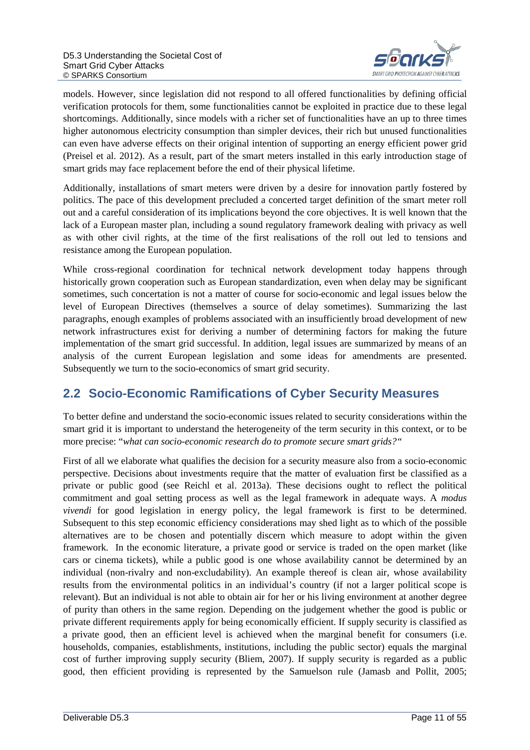

models. However, since legislation did not respond to all offered functionalities by defining official verification protocols for them, some functionalities cannot be exploited in practice due to these legal shortcomings. Additionally, since models with a richer set of functionalities have an up to three times higher autonomous electricity consumption than simpler devices, their rich but unused functionalities can even have adverse effects on their original intention of supporting an energy efficient power grid (Preisel et al. 2012). As a result, part of the smart meters installed in this early introduction stage of smart grids may face replacement before the end of their physical lifetime.

Additionally, installations of smart meters were driven by a desire for innovation partly fostered by politics. The pace of this development precluded a concerted target definition of the smart meter roll out and a careful consideration of its implications beyond the core objectives. It is well known that the lack of a European master plan, including a sound regulatory framework dealing with privacy as well as with other civil rights, at the time of the first realisations of the roll out led to tensions and resistance among the European population.

While cross-regional coordination for technical network development today happens through historically grown cooperation such as European standardization, even when delay may be significant sometimes, such concertation is not a matter of course for socio-economic and legal issues below the level of European Directives (themselves a source of delay sometimes). Summarizing the last paragraphs, enough examples of problems associated with an insufficiently broad development of new network infrastructures exist for deriving a number of determining factors for making the future implementation of the smart grid successful. In addition, legal issues are summarized by means of an analysis of the current European legislation and some ideas for amendments are presented. Subsequently we turn to the socio-economics of smart grid security.

### <span id="page-10-0"></span>**2.2 Socio-Economic Ramifications of Cyber Security Measures**

To better define and understand the socio-economic issues related to security considerations within the smart grid it is important to understand the heterogeneity of the term security in this context, or to be more precise: "*what can socio-economic research do to promote secure smart grids?"*

First of all we elaborate what qualifies the decision for a security measure also from a socio-economic perspective. Decisions about investments require that the matter of evaluation first be classified as a private or public good (see Reichl et al. 2013a). These decisions ought to reflect the political commitment and goal setting process as well as the legal framework in adequate ways. A *modus vivendi* for good legislation in energy policy, the legal framework is first to be determined. Subsequent to this step economic efficiency considerations may shed light as to which of the possible alternatives are to be chosen and potentially discern which measure to adopt within the given framework. In the economic literature, a private good or service is traded on the open market (like cars or cinema tickets), while a public good is one whose availability cannot be determined by an individual (non-rivalry and non-excludability). An example thereof is clean air, whose availability results from the environmental politics in an individual's country (if not a larger political scope is relevant). But an individual is not able to obtain air for her or his living environment at another degree of purity than others in the same region. Depending on the judgement whether the good is public or private different requirements apply for being economically efficient. If supply security is classified as a private good, then an efficient level is achieved when the marginal benefit for consumers (i.e. households, companies, establishments, institutions, including the public sector) equals the marginal cost of further improving supply security (Bliem, 2007). If supply security is regarded as a public good, then efficient providing is represented by the Samuelson rule (Jamasb and Pollit, 2005;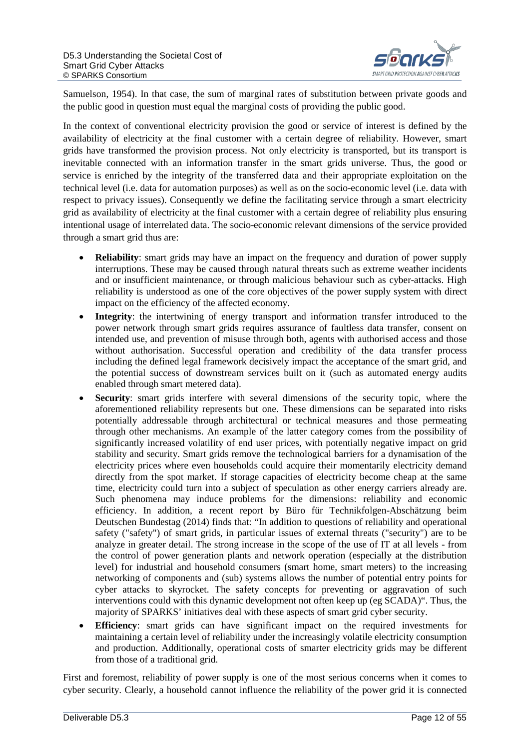

Samuelson, 1954). In that case, the sum of marginal rates of substitution between private goods and the public good in question must equal the marginal costs of providing the public good.

In the context of conventional electricity provision the good or service of interest is defined by the availability of electricity at the final customer with a certain degree of reliability. However, smart grids have transformed the provision process. Not only electricity is transported, but its transport is inevitable connected with an information transfer in the smart grids universe. Thus, the good or service is enriched by the integrity of the transferred data and their appropriate exploitation on the technical level (i.e. data for automation purposes) as well as on the socio-economic level (i.e. data with respect to privacy issues). Consequently we define the facilitating service through a smart electricity grid as availability of electricity at the final customer with a certain degree of reliability plus ensuring intentional usage of interrelated data. The socio-economic relevant dimensions of the service provided through a smart grid thus are:

- **Reliability**: smart grids may have an impact on the frequency and duration of power supply interruptions. These may be caused through natural threats such as extreme weather incidents and or insufficient maintenance, or through malicious behaviour such as cyber-attacks. High reliability is understood as one of the core objectives of the power supply system with direct impact on the efficiency of the affected economy.
- **Integrity**: the intertwining of energy transport and information transfer introduced to the power network through smart grids requires assurance of faultless data transfer, consent on intended use, and prevention of misuse through both, agents with authorised access and those without authorisation. Successful operation and credibility of the data transfer process including the defined legal framework decisively impact the acceptance of the smart grid, and the potential success of downstream services built on it (such as automated energy audits enabled through smart metered data).
- **Security**: smart grids interfere with several dimensions of the security topic, where the aforementioned reliability represents but one. These dimensions can be separated into risks potentially addressable through architectural or technical measures and those permeating through other mechanisms. An example of the latter category comes from the possibility of significantly increased volatility of end user prices, with potentially negative impact on grid stability and security. Smart grids remove the technological barriers for a dynamisation of the electricity prices where even households could acquire their momentarily electricity demand directly from the spot market. If storage capacities of electricity become cheap at the same time, electricity could turn into a subject of speculation as other energy carriers already are. Such phenomena may induce problems for the dimensions: reliability and economic efficiency. In addition, a recent report by Büro für Technikfolgen-Abschätzung beim Deutschen Bundestag (2014) finds that: "In addition to questions of reliability and operational safety ("safety") of smart grids, in particular issues of external threats ("security") are to be analyze in greater detail. The strong increase in the scope of the use of IT at all levels - from the control of power generation plants and network operation (especially at the distribution level) for industrial and household consumers (smart home, smart meters) to the increasing networking of components and (sub) systems allows the number of potential entry points for cyber attacks to skyrocket. The safety concepts for preventing or aggravation of such interventions could with this dynamic development not often keep up (eg SCADA)". Thus, the majority of SPARKS' initiatives deal with these aspects of smart grid cyber security.
- **Efficiency**: smart grids can have significant impact on the required investments for maintaining a certain level of reliability under the increasingly volatile electricity consumption and production. Additionally, operational costs of smarter electricity grids may be different from those of a traditional grid.

First and foremost, reliability of power supply is one of the most serious concerns when it comes to cyber security. Clearly, a household cannot influence the reliability of the power grid it is connected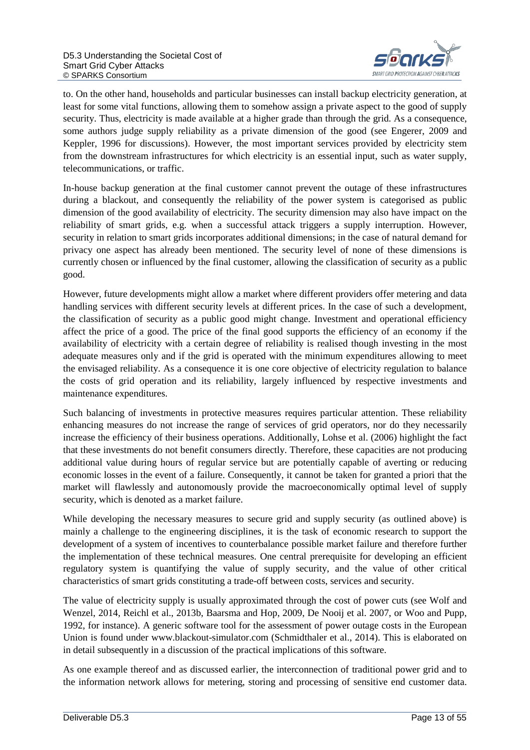

to. On the other hand, households and particular businesses can install backup electricity generation, at least for some vital functions, allowing them to somehow assign a private aspect to the good of supply security. Thus, electricity is made available at a higher grade than through the grid. As a consequence, some authors judge supply reliability as a private dimension of the good (see Engerer, 2009 and Keppler, 1996 for discussions). However, the most important services provided by electricity stem from the downstream infrastructures for which electricity is an essential input, such as water supply, telecommunications, or traffic.

In-house backup generation at the final customer cannot prevent the outage of these infrastructures during a blackout, and consequently the reliability of the power system is categorised as public dimension of the good availability of electricity. The security dimension may also have impact on the reliability of smart grids, e.g. when a successful attack triggers a supply interruption. However, security in relation to smart grids incorporates additional dimensions; in the case of natural demand for privacy one aspect has already been mentioned. The security level of none of these dimensions is currently chosen or influenced by the final customer, allowing the classification of security as a public good.

However, future developments might allow a market where different providers offer metering and data handling services with different security levels at different prices. In the case of such a development, the classification of security as a public good might change. Investment and operational efficiency affect the price of a good. The price of the final good supports the efficiency of an economy if the availability of electricity with a certain degree of reliability is realised though investing in the most adequate measures only and if the grid is operated with the minimum expenditures allowing to meet the envisaged reliability. As a consequence it is one core objective of electricity regulation to balance the costs of grid operation and its reliability, largely influenced by respective investments and maintenance expenditures.

Such balancing of investments in protective measures requires particular attention. These reliability enhancing measures do not increase the range of services of grid operators, nor do they necessarily increase the efficiency of their business operations. Additionally, Lohse et al. (2006) highlight the fact that these investments do not benefit consumers directly. Therefore, these capacities are not producing additional value during hours of regular service but are potentially capable of averting or reducing economic losses in the event of a failure. Consequently, it cannot be taken for granted a priori that the market will flawlessly and autonomously provide the macroeconomically optimal level of supply security, which is denoted as a market failure.

While developing the necessary measures to secure grid and supply security (as outlined above) is mainly a challenge to the engineering disciplines, it is the task of economic research to support the development of a system of incentives to counterbalance possible market failure and therefore further the implementation of these technical measures. One central prerequisite for developing an efficient regulatory system is quantifying the value of supply security, and the value of other critical characteristics of smart grids constituting a trade-off between costs, services and security.

The value of electricity supply is usually approximated through the cost of power cuts (see Wolf and Wenzel, 2014, Reichl et al., 2013b, Baarsma and Hop, 2009, De Nooij et al. 2007, or Woo and Pupp, 1992, for instance). A generic software tool for the assessment of power outage costs in the European Union is found under www.blackout-simulator.com (Schmidthaler et al., 2014). This is elaborated on in detail subsequently in a discussion of the practical implications of this software.

As one example thereof and as discussed earlier, the interconnection of traditional power grid and to the information network allows for metering, storing and processing of sensitive end customer data.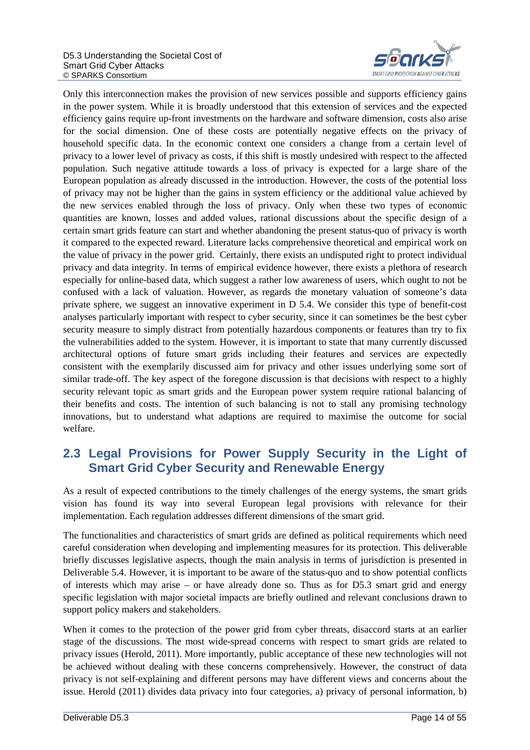

Only this interconnection makes the provision of new services possible and supports efficiency gains in the power system. While it is broadly understood that this extension of services and the expected efficiency gains require up-front investments on the hardware and software dimension, costs also arise for the social dimension. One of these costs are potentially negative effects on the privacy of household specific data. In the economic context one considers a change from a certain level of privacy to a lower level of privacy as costs, if this shift is mostly undesired with respect to the affected population. Such negative attitude towards a loss of privacy is expected for a large share of the European population as already discussed in the introduction. However, the costs of the potential loss of privacy may not be higher than the gains in system efficiency or the additional value achieved by the new services enabled through the loss of privacy. Only when these two types of economic quantities are known, losses and added values, rational discussions about the specific design of a certain smart grids feature can start and whether abandoning the present status-quo of privacy is worth it compared to the expected reward. Literature lacks comprehensive theoretical and empirical work on the value of privacy in the power grid. Certainly, there exists an undisputed right to protect individual privacy and data integrity. In terms of empirical evidence however, there exists a plethora of research especially for online-based data, which suggest a rather low awareness of users, which ought to not be confused with a lack of valuation. However, as regards the monetary valuation of someone's data private sphere, we suggest an innovative experiment in D 5.4. We consider this type of benefit-cost analyses particularly important with respect to cyber security, since it can sometimes be the best cyber security measure to simply distract from potentially hazardous components or features than try to fix the vulnerabilities added to the system. However, it is important to state that many currently discussed architectural options of future smart grids including their features and services are expectedly consistent with the exemplarily discussed aim for privacy and other issues underlying some sort of similar trade-off. The key aspect of the foregone discussion is that decisions with respect to a highly security relevant topic as smart grids and the European power system require rational balancing of their benefits and costs. The intention of such balancing is not to stall any promising technology innovations, but to understand what adaptions are required to maximise the outcome for social welfare.

# <span id="page-13-0"></span>**2.3 Legal Provisions for Power Supply Security in the Light of Smart Grid Cyber Security and Renewable Energy**

As a result of expected contributions to the timely challenges of the energy systems, the smart grids vision has found its way into several European legal provisions with relevance for their implementation. Each regulation addresses different dimensions of the smart grid.

The functionalities and characteristics of smart grids are defined as political requirements which need careful consideration when developing and implementing measures for its protection. This deliverable briefly discusses legislative aspects, though the main analysis in terms of jurisdiction is presented in Deliverable 5.4. However, it is important to be aware of the status-quo and to show potential conflicts of interests which may arise – or have already done so. Thus as for D5.3 smart grid and energy specific legislation with major societal impacts are briefly outlined and relevant conclusions drawn to support policy makers and stakeholders.

When it comes to the protection of the power grid from cyber threats, disaccord starts at an earlier stage of the discussions. The most wide-spread concerns with respect to smart grids are related to privacy issues (Herold, 2011). More importantly, public acceptance of these new technologies will not be achieved without dealing with these concerns comprehensively. However, the construct of data privacy is not self-explaining and different persons may have different views and concerns about the issue. Herold (2011) divides data privacy into four categories, a) privacy of personal information, b)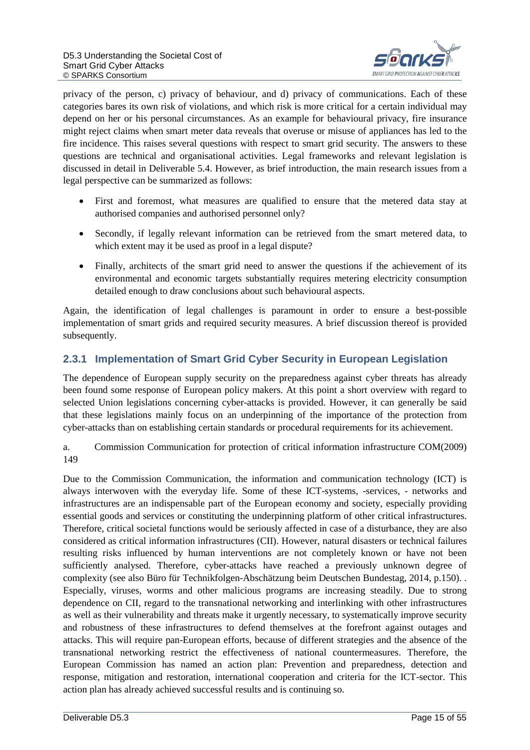

privacy of the person, c) privacy of behaviour, and d) privacy of communications. Each of these categories bares its own risk of violations, and which risk is more critical for a certain individual may depend on her or his personal circumstances. As an example for behavioural privacy, fire insurance might reject claims when smart meter data reveals that overuse or misuse of appliances has led to the fire incidence. This raises several questions with respect to smart grid security. The answers to these questions are technical and organisational activities. Legal frameworks and relevant legislation is discussed in detail in Deliverable 5.4. However, as brief introduction, the main research issues from a legal perspective can be summarized as follows:

- First and foremost, what measures are qualified to ensure that the metered data stay at authorised companies and authorised personnel only?
- Secondly, if legally relevant information can be retrieved from the smart metered data, to which extent may it be used as proof in a legal dispute?
- Finally, architects of the smart grid need to answer the questions if the achievement of its environmental and economic targets substantially requires metering electricity consumption detailed enough to draw conclusions about such behavioural aspects.

Again, the identification of legal challenges is paramount in order to ensure a best-possible implementation of smart grids and required security measures. A brief discussion thereof is provided subsequently.

### <span id="page-14-0"></span>**2.3.1 Implementation of Smart Grid Cyber Security in European Legislation**

The dependence of European supply security on the preparedness against cyber threats has already been found some response of European policy makers. At this point a short overview with regard to selected Union legislations concerning cyber-attacks is provided. However, it can generally be said that these legislations mainly focus on an underpinning of the importance of the protection from cyber-attacks than on establishing certain standards or procedural requirements for its achievement.

a. Commission Communication for protection of critical information infrastructure COM(2009) 149

Due to the Commission Communication, the information and communication technology (ICT) is always interwoven with the everyday life. Some of these ICT-systems, -services, - networks and infrastructures are an indispensable part of the European economy and society, especially providing essential goods and services or constituting the underpinning platform of other critical infrastructures. Therefore, critical societal functions would be seriously affected in case of a disturbance, they are also considered as critical information infrastructures (CII). However, natural disasters or technical failures resulting risks influenced by human interventions are not completely known or have not been sufficiently analysed. Therefore, cyber-attacks have reached a previously unknown degree of complexity (see also Büro für Technikfolgen-Abschätzung beim Deutschen Bundestag, 2014, p.150). . Especially, viruses, worms and other malicious programs are increasing steadily. Due to strong dependence on CII, regard to the transnational networking and interlinking with other infrastructures as well as their vulnerability and threats make it urgently necessary, to systematically improve security and robustness of these infrastructures to defend themselves at the forefront against outages and attacks. This will require pan-European efforts, because of different strategies and the absence of the transnational networking restrict the effectiveness of national countermeasures. Therefore, the European Commission has named an action plan: Prevention and preparedness, detection and response, mitigation and restoration, international cooperation and criteria for the ICT-sector. This action plan has already achieved successful results and is continuing so.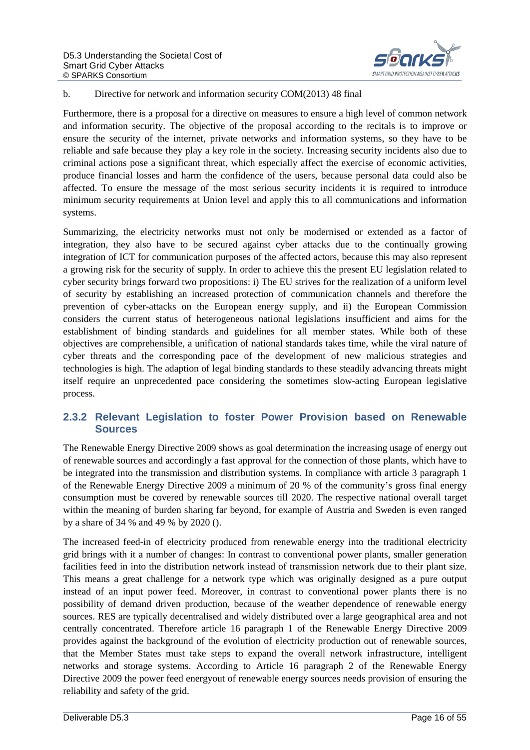

#### b. Directive for network and information security COM(2013) 48 final

Furthermore, there is a proposal for a directive on measures to ensure a high level of common network and information security. The objective of the proposal according to the recitals is to improve or ensure the security of the internet, private networks and information systems, so they have to be reliable and safe because they play a key role in the society. Increasing security incidents also due to criminal actions pose a significant threat, which especially affect the exercise of economic activities, produce financial losses and harm the confidence of the users, because personal data could also be affected. To ensure the message of the most serious security incidents it is required to introduce minimum security requirements at Union level and apply this to all communications and information systems.

Summarizing, the electricity networks must not only be modernised or extended as a factor of integration, they also have to be secured against cyber attacks due to the continually growing integration of ICT for communication purposes of the affected actors, because this may also represent a growing risk for the security of supply. In order to achieve this the present EU legislation related to cyber security brings forward two propositions: i) The EU strives for the realization of a uniform level of security by establishing an increased protection of communication channels and therefore the prevention of cyber-attacks on the European energy supply, and ii) the European Commission considers the current status of heterogeneous national legislations insufficient and aims for the establishment of binding standards and guidelines for all member states. While both of these objectives are comprehensible, a unification of national standards takes time, while the viral nature of cyber threats and the corresponding pace of the development of new malicious strategies and technologies is high. The adaption of legal binding standards to these steadily advancing threats might itself require an unprecedented pace considering the sometimes slow-acting European legislative process.

#### <span id="page-15-0"></span>**2.3.2 Relevant Legislation to foster Power Provision based on Renewable Sources**

The Renewable Energy Directive 2009 shows as goal determination the increasing usage of energy out of renewable sources and accordingly a fast approval for the connection of those plants, which have to be integrated into the transmission and distribution systems. In compliance with article 3 paragraph 1 of the Renewable Energy Directive 2009 a minimum of 20 % of the community's gross final energy consumption must be covered by renewable sources till 2020. The respective national overall target within the meaning of burden sharing far beyond, for example of Austria and Sweden is even ranged by a share of 34 % and 49 % by 2020 ().

The increased feed-in of electricity produced from renewable energy into the traditional electricity grid brings with it a number of changes: In contrast to conventional power plants, smaller generation facilities feed in into the distribution network instead of transmission network due to their plant size. This means a great challenge for a network type which was originally designed as a pure output instead of an input power feed. Moreover, in contrast to conventional power plants there is no possibility of demand driven production, because of the weather dependence of renewable energy sources. RES are typically decentralised and widely distributed over a large geographical area and not centrally concentrated. Therefore article 16 paragraph 1 of the Renewable Energy Directive 2009 provides against the background of the evolution of electricity production out of renewable sources, that the Member States must take steps to expand the overall network infrastructure, intelligent networks and storage systems. According to Article 16 paragraph 2 of the Renewable Energy Directive 2009 the power feed energyout of renewable energy sources needs provision of ensuring the reliability and safety of the grid.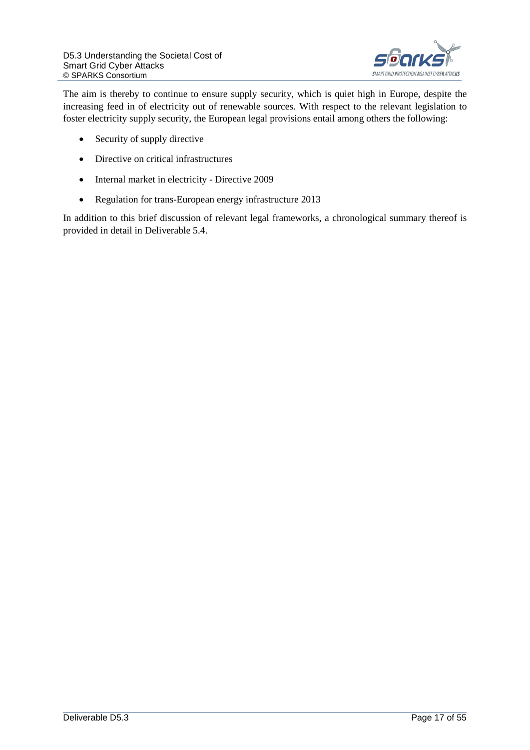

The aim is thereby to continue to ensure supply security, which is quiet high in Europe, despite the increasing feed in of electricity out of renewable sources. With respect to the relevant legislation to foster electricity supply security, the European legal provisions entail among others the following:

- Security of supply directive
- Directive on critical infrastructures
- Internal market in electricity Directive 2009
- Regulation for trans-European energy infrastructure 2013

In addition to this brief discussion of relevant legal frameworks, a chronological summary thereof is provided in detail in Deliverable 5.4.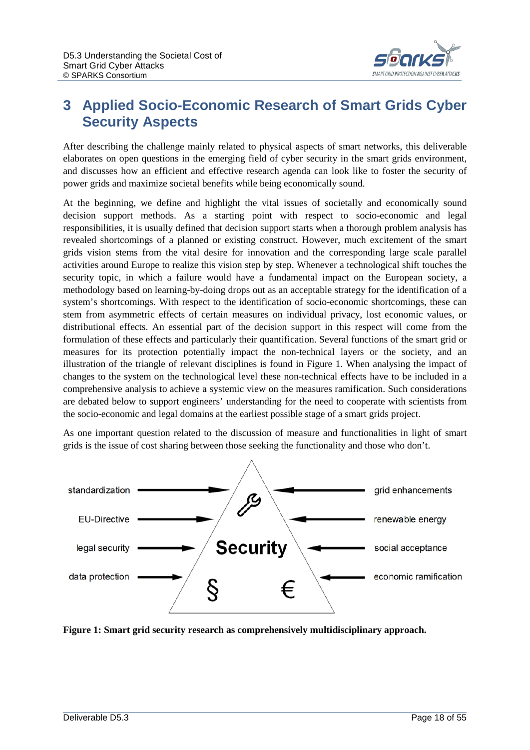

# <span id="page-17-0"></span>**3 Applied Socio-Economic Research of Smart Grids Cyber Security Aspects**

After describing the challenge mainly related to physical aspects of smart networks, this deliverable elaborates on open questions in the emerging field of cyber security in the smart grids environment, and discusses how an efficient and effective research agenda can look like to foster the security of power grids and maximize societal benefits while being economically sound.

At the beginning, we define and highlight the vital issues of societally and economically sound decision support methods. As a starting point with respect to socio-economic and legal responsibilities, it is usually defined that decision support starts when a thorough problem analysis has revealed shortcomings of a planned or existing construct. However, much excitement of the smart grids vision stems from the vital desire for innovation and the corresponding large scale parallel activities around Europe to realize this vision step by step. Whenever a technological shift touches the security topic, in which a failure would have a fundamental impact on the European society, a methodology based on learning-by-doing drops out as an acceptable strategy for the identification of a system's shortcomings. With respect to the identification of socio-economic shortcomings, these can stem from asymmetric effects of certain measures on individual privacy, lost economic values, or distributional effects. An essential part of the decision support in this respect will come from the formulation of these effects and particularly their quantification. Several functions of the smart grid or measures for its protection potentially impact the non-technical layers or the society, and an illustration of the triangle of relevant disciplines is found in [Figure 1.](#page-17-1) When analysing the impact of changes to the system on the technological level these non-technical effects have to be included in a comprehensive analysis to achieve a systemic view on the measures ramification. Such considerations are debated below to support engineers' understanding for the need to cooperate with scientists from the socio-economic and legal domains at the earliest possible stage of a smart grids project.

As one important question related to the discussion of measure and functionalities in light of smart grids is the issue of cost sharing between those seeking the functionality and those who don't.



<span id="page-17-1"></span>**Figure 1: Smart grid security research as comprehensively multidisciplinary approach.**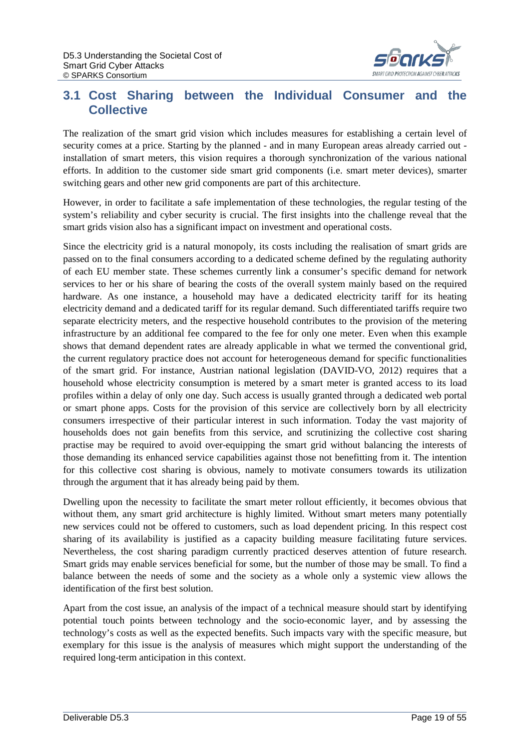

### <span id="page-18-0"></span>**3.1 Cost Sharing between the Individual Consumer and the Collective**

The realization of the smart grid vision which includes measures for establishing a certain level of security comes at a price. Starting by the planned - and in many European areas already carried out installation of smart meters, this vision requires a thorough synchronization of the various national efforts. In addition to the customer side smart grid components (i.e. smart meter devices), smarter switching gears and other new grid components are part of this architecture.

However, in order to facilitate a safe implementation of these technologies, the regular testing of the system's reliability and cyber security is crucial. The first insights into the challenge reveal that the smart grids vision also has a significant impact on investment and operational costs.

Since the electricity grid is a natural monopoly, its costs including the realisation of smart grids are passed on to the final consumers according to a dedicated scheme defined by the regulating authority of each EU member state. These schemes currently link a consumer's specific demand for network services to her or his share of bearing the costs of the overall system mainly based on the required hardware. As one instance, a household may have a dedicated electricity tariff for its heating electricity demand and a dedicated tariff for its regular demand. Such differentiated tariffs require two separate electricity meters, and the respective household contributes to the provision of the metering infrastructure by an additional fee compared to the fee for only one meter. Even when this example shows that demand dependent rates are already applicable in what we termed the conventional grid, the current regulatory practice does not account for heterogeneous demand for specific functionalities of the smart grid. For instance, Austrian national legislation (DAVID-VO, 2012) requires that a household whose electricity consumption is metered by a smart meter is granted access to its load profiles within a delay of only one day. Such access is usually granted through a dedicated web portal or smart phone apps. Costs for the provision of this service are collectively born by all electricity consumers irrespective of their particular interest in such information. Today the vast majority of households does not gain benefits from this service, and scrutinizing the collective cost sharing practise may be required to avoid over-equipping the smart grid without balancing the interests of those demanding its enhanced service capabilities against those not benefitting from it. The intention for this collective cost sharing is obvious, namely to motivate consumers towards its utilization through the argument that it has already being paid by them.

Dwelling upon the necessity to facilitate the smart meter rollout efficiently, it becomes obvious that without them, any smart grid architecture is highly limited. Without smart meters many potentially new services could not be offered to customers, such as load dependent pricing. In this respect cost sharing of its availability is justified as a capacity building measure facilitating future services. Nevertheless, the cost sharing paradigm currently practiced deserves attention of future research. Smart grids may enable services beneficial for some, but the number of those may be small. To find a balance between the needs of some and the society as a whole only a systemic view allows the identification of the first best solution.

Apart from the cost issue, an analysis of the impact of a technical measure should start by identifying potential touch points between technology and the socio-economic layer, and by assessing the technology's costs as well as the expected benefits. Such impacts vary with the specific measure, but exemplary for this issue is the analysis of measures which might support the understanding of the required long-term anticipation in this context.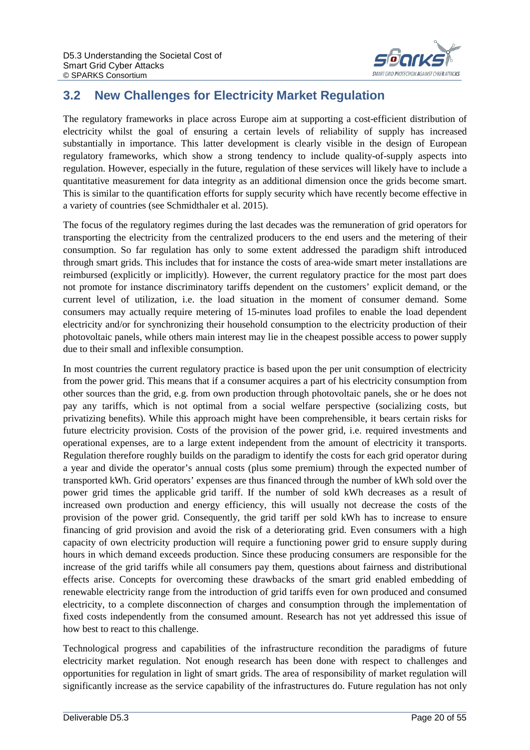

# <span id="page-19-0"></span>**3.2 New Challenges for Electricity Market Regulation**

The regulatory frameworks in place across Europe aim at supporting a cost-efficient distribution of electricity whilst the goal of ensuring a certain levels of reliability of supply has increased substantially in importance. This latter development is clearly visible in the design of European regulatory frameworks, which show a strong tendency to include quality-of-supply aspects into regulation. However, especially in the future, regulation of these services will likely have to include a quantitative measurement for data integrity as an additional dimension once the grids become smart. This is similar to the quantification efforts for supply security which have recently become effective in a variety of countries (see Schmidthaler et al. 2015).

The focus of the regulatory regimes during the last decades was the remuneration of grid operators for transporting the electricity from the centralized producers to the end users and the metering of their consumption. So far regulation has only to some extent addressed the paradigm shift introduced through smart grids. This includes that for instance the costs of area-wide smart meter installations are reimbursed (explicitly or implicitly). However, the current regulatory practice for the most part does not promote for instance discriminatory tariffs dependent on the customers' explicit demand, or the current level of utilization, i.e. the load situation in the moment of consumer demand. Some consumers may actually require metering of 15-minutes load profiles to enable the load dependent electricity and/or for synchronizing their household consumption to the electricity production of their photovoltaic panels, while others main interest may lie in the cheapest possible access to power supply due to their small and inflexible consumption.

In most countries the current regulatory practice is based upon the per unit consumption of electricity from the power grid. This means that if a consumer acquires a part of his electricity consumption from other sources than the grid, e.g. from own production through photovoltaic panels, she or he does not pay any tariffs, which is not optimal from a social welfare perspective (socializing costs, but privatizing benefits). While this approach might have been comprehensible, it bears certain risks for future electricity provision. Costs of the provision of the power grid, i.e. required investments and operational expenses, are to a large extent independent from the amount of electricity it transports. Regulation therefore roughly builds on the paradigm to identify the costs for each grid operator during a year and divide the operator's annual costs (plus some premium) through the expected number of transported kWh. Grid operators' expenses are thus financed through the number of kWh sold over the power grid times the applicable grid tariff. If the number of sold kWh decreases as a result of increased own production and energy efficiency, this will usually not decrease the costs of the provision of the power grid. Consequently, the grid tariff per sold kWh has to increase to ensure financing of grid provision and avoid the risk of a deteriorating grid. Even consumers with a high capacity of own electricity production will require a functioning power grid to ensure supply during hours in which demand exceeds production. Since these producing consumers are responsible for the increase of the grid tariffs while all consumers pay them, questions about fairness and distributional effects arise. Concepts for overcoming these drawbacks of the smart grid enabled embedding of renewable electricity range from the introduction of grid tariffs even for own produced and consumed electricity, to a complete disconnection of charges and consumption through the implementation of fixed costs independently from the consumed amount. Research has not yet addressed this issue of how best to react to this challenge.

Technological progress and capabilities of the infrastructure recondition the paradigms of future electricity market regulation. Not enough research has been done with respect to challenges and opportunities for regulation in light of smart grids. The area of responsibility of market regulation will significantly increase as the service capability of the infrastructures do. Future regulation has not only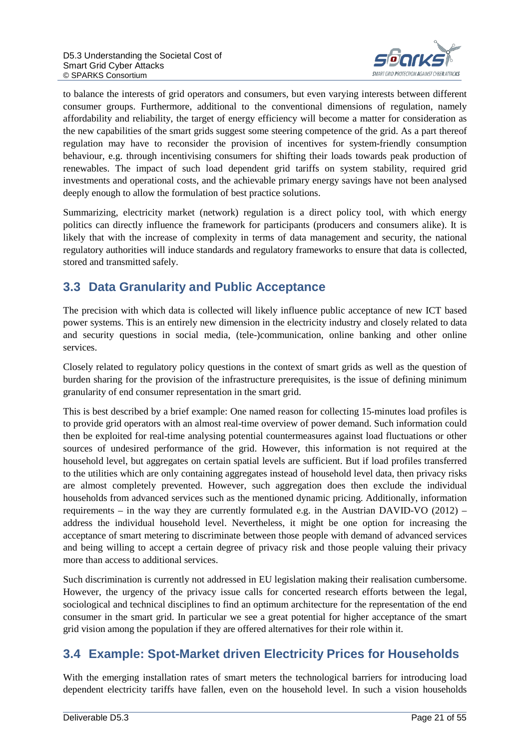

to balance the interests of grid operators and consumers, but even varying interests between different consumer groups. Furthermore, additional to the conventional dimensions of regulation, namely affordability and reliability, the target of energy efficiency will become a matter for consideration as the new capabilities of the smart grids suggest some steering competence of the grid. As a part thereof regulation may have to reconsider the provision of incentives for system-friendly consumption behaviour, e.g. through incentivising consumers for shifting their loads towards peak production of renewables. The impact of such load dependent grid tariffs on system stability, required grid investments and operational costs, and the achievable primary energy savings have not been analysed deeply enough to allow the formulation of best practice solutions.

Summarizing, electricity market (network) regulation is a direct policy tool, with which energy politics can directly influence the framework for participants (producers and consumers alike). It is likely that with the increase of complexity in terms of data management and security, the national regulatory authorities will induce standards and regulatory frameworks to ensure that data is collected, stored and transmitted safely.

# <span id="page-20-0"></span>**3.3 Data Granularity and Public Acceptance**

The precision with which data is collected will likely influence public acceptance of new ICT based power systems. This is an entirely new dimension in the electricity industry and closely related to data and security questions in social media, (tele-)communication, online banking and other online services.

Closely related to regulatory policy questions in the context of smart grids as well as the question of burden sharing for the provision of the infrastructure prerequisites, is the issue of defining minimum granularity of end consumer representation in the smart grid.

This is best described by a brief example: One named reason for collecting 15-minutes load profiles is to provide grid operators with an almost real-time overview of power demand. Such information could then be exploited for real-time analysing potential countermeasures against load fluctuations or other sources of undesired performance of the grid. However, this information is not required at the household level, but aggregates on certain spatial levels are sufficient. But if load profiles transferred to the utilities which are only containing aggregates instead of household level data, then privacy risks are almost completely prevented. However, such aggregation does then exclude the individual households from advanced services such as the mentioned dynamic pricing. Additionally, information requirements – in the way they are currently formulated e.g. in the Austrian DAVID-VO  $(2012)$  – address the individual household level. Nevertheless, it might be one option for increasing the acceptance of smart metering to discriminate between those people with demand of advanced services and being willing to accept a certain degree of privacy risk and those people valuing their privacy more than access to additional services.

Such discrimination is currently not addressed in EU legislation making their realisation cumbersome. However, the urgency of the privacy issue calls for concerted research efforts between the legal, sociological and technical disciplines to find an optimum architecture for the representation of the end consumer in the smart grid. In particular we see a great potential for higher acceptance of the smart grid vision among the population if they are offered alternatives for their role within it.

### <span id="page-20-1"></span>**3.4 Example: Spot-Market driven Electricity Prices for Households**

With the emerging installation rates of smart meters the technological barriers for introducing load dependent electricity tariffs have fallen, even on the household level. In such a vision households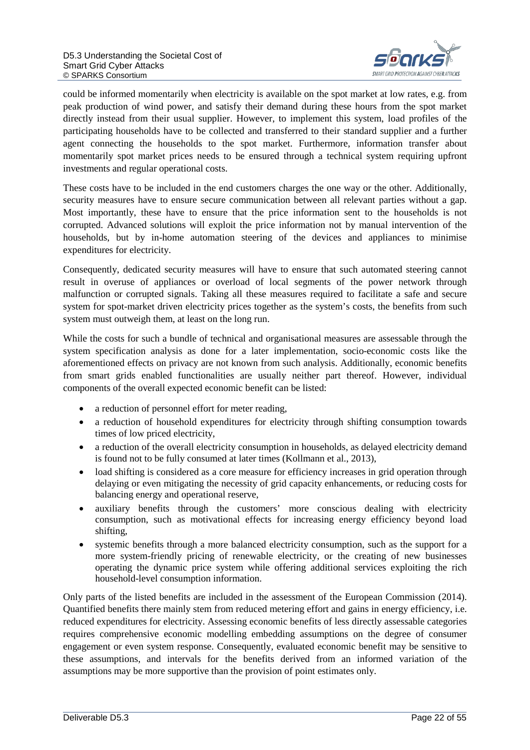

could be informed momentarily when electricity is available on the spot market at low rates, e.g. from peak production of wind power, and satisfy their demand during these hours from the spot market directly instead from their usual supplier. However, to implement this system, load profiles of the participating households have to be collected and transferred to their standard supplier and a further agent connecting the households to the spot market. Furthermore, information transfer about momentarily spot market prices needs to be ensured through a technical system requiring upfront investments and regular operational costs.

These costs have to be included in the end customers charges the one way or the other. Additionally, security measures have to ensure secure communication between all relevant parties without a gap. Most importantly, these have to ensure that the price information sent to the households is not corrupted. Advanced solutions will exploit the price information not by manual intervention of the households, but by in-home automation steering of the devices and appliances to minimise expenditures for electricity.

Consequently, dedicated security measures will have to ensure that such automated steering cannot result in overuse of appliances or overload of local segments of the power network through malfunction or corrupted signals. Taking all these measures required to facilitate a safe and secure system for spot-market driven electricity prices together as the system's costs, the benefits from such system must outweigh them, at least on the long run.

While the costs for such a bundle of technical and organisational measures are assessable through the system specification analysis as done for a later implementation, socio-economic costs like the aforementioned effects on privacy are not known from such analysis. Additionally, economic benefits from smart grids enabled functionalities are usually neither part thereof. However, individual components of the overall expected economic benefit can be listed:

- a reduction of personnel effort for meter reading.
- a reduction of household expenditures for electricity through shifting consumption towards times of low priced electricity,
- a reduction of the overall electricity consumption in households, as delayed electricity demand is found not to be fully consumed at later times (Kollmann et al., 2013),
- load shifting is considered as a core measure for efficiency increases in grid operation through delaying or even mitigating the necessity of grid capacity enhancements, or reducing costs for balancing energy and operational reserve,
- auxiliary benefits through the customers' more conscious dealing with electricity consumption, such as motivational effects for increasing energy efficiency beyond load shifting,
- systemic benefits through a more balanced electricity consumption, such as the support for a more system-friendly pricing of renewable electricity, or the creating of new businesses operating the dynamic price system while offering additional services exploiting the rich household-level consumption information.

Only parts of the listed benefits are included in the assessment of the European Commission (2014). Quantified benefits there mainly stem from reduced metering effort and gains in energy efficiency, i.e. reduced expenditures for electricity. Assessing economic benefits of less directly assessable categories requires comprehensive economic modelling embedding assumptions on the degree of consumer engagement or even system response. Consequently, evaluated economic benefit may be sensitive to these assumptions, and intervals for the benefits derived from an informed variation of the assumptions may be more supportive than the provision of point estimates only.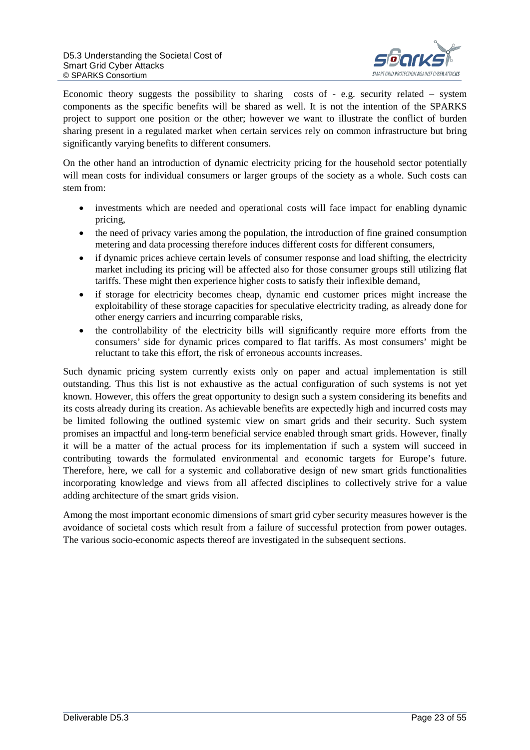

Economic theory suggests the possibility to sharing costs of  $-$  e.g. security related  $-$  system components as the specific benefits will be shared as well. It is not the intention of the SPARKS project to support one position or the other; however we want to illustrate the conflict of burden sharing present in a regulated market when certain services rely on common infrastructure but bring significantly varying benefits to different consumers.

On the other hand an introduction of dynamic electricity pricing for the household sector potentially will mean costs for individual consumers or larger groups of the society as a whole. Such costs can stem from:

- investments which are needed and operational costs will face impact for enabling dynamic pricing,
- the need of privacy varies among the population, the introduction of fine grained consumption metering and data processing therefore induces different costs for different consumers,
- if dynamic prices achieve certain levels of consumer response and load shifting, the electricity market including its pricing will be affected also for those consumer groups still utilizing flat tariffs. These might then experience higher costs to satisfy their inflexible demand,
- if storage for electricity becomes cheap, dynamic end customer prices might increase the exploitability of these storage capacities for speculative electricity trading, as already done for other energy carriers and incurring comparable risks,
- the controllability of the electricity bills will significantly require more efforts from the consumers' side for dynamic prices compared to flat tariffs. As most consumers' might be reluctant to take this effort, the risk of erroneous accounts increases.

Such dynamic pricing system currently exists only on paper and actual implementation is still outstanding. Thus this list is not exhaustive as the actual configuration of such systems is not yet known. However, this offers the great opportunity to design such a system considering its benefits and its costs already during its creation. As achievable benefits are expectedly high and incurred costs may be limited following the outlined systemic view on smart grids and their security. Such system promises an impactful and long-term beneficial service enabled through smart grids. However, finally it will be a matter of the actual process for its implementation if such a system will succeed in contributing towards the formulated environmental and economic targets for Europe's future. Therefore, here, we call for a systemic and collaborative design of new smart grids functionalities incorporating knowledge and views from all affected disciplines to collectively strive for a value adding architecture of the smart grids vision.

Among the most important economic dimensions of smart grid cyber security measures however is the avoidance of societal costs which result from a failure of successful protection from power outages. The various socio-economic aspects thereof are investigated in the subsequent sections.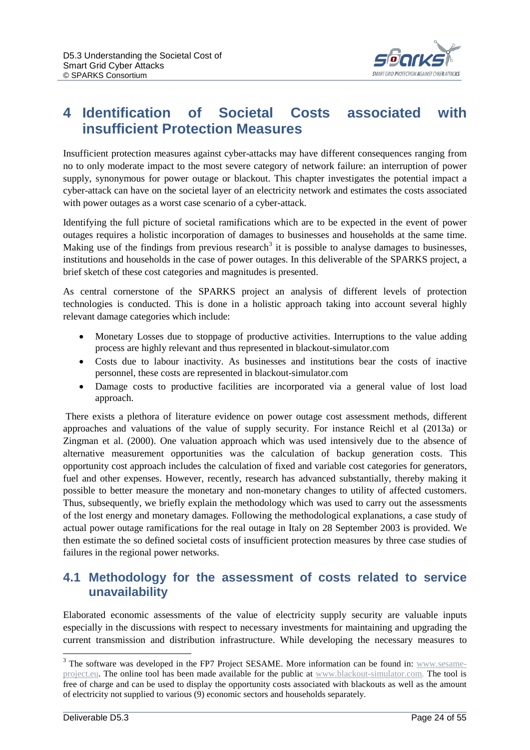

# <span id="page-23-0"></span>**4 Identification of Societal Costs associated with insufficient Protection Measures**

Insufficient protection measures against cyber-attacks may have different consequences ranging from no to only moderate impact to the most severe category of network failure: an interruption of power supply, synonymous for power outage or blackout. This chapter investigates the potential impact a cyber-attack can have on the societal layer of an electricity network and estimates the costs associated with power outages as a worst case scenario of a cyber-attack.

Identifying the full picture of societal ramifications which are to be expected in the event of power outages requires a holistic incorporation of damages to businesses and households at the same time. Making use of the findings from previous research<sup>[3](#page-28-2)</sup> it is possible to analyse damages to businesses, institutions and households in the case of power outages. In this deliverable of the SPARKS project, a brief sketch of these cost categories and magnitudes is presented.

As central cornerstone of the SPARKS project an analysis of different levels of protection technologies is conducted. This is done in a holistic approach taking into account several highly relevant damage categories which include:

- Monetary Losses due to stoppage of productive activities. Interruptions to the value adding process are highly relevant and thus represented in blackout-simulator.com
- Costs due to labour inactivity. As businesses and institutions bear the costs of inactive personnel, these costs are represented in blackout-simulator.com
- Damage costs to productive facilities are incorporated via a general value of lost load approach.

There exists a plethora of literature evidence on power outage cost assessment methods, different approaches and valuations of the value of supply security. For instance Reichl et al (2013a) or Zingman et al. (2000). One valuation approach which was used intensively due to the absence of alternative measurement opportunities was the calculation of backup generation costs. This opportunity cost approach includes the calculation of fixed and variable cost categories for generators, fuel and other expenses. However, recently, research has advanced substantially, thereby making it possible to better measure the monetary and non-monetary changes to utility of affected customers. Thus, subsequently, we briefly explain the methodology which was used to carry out the assessments of the lost energy and monetary damages. Following the methodological explanations, a case study of actual power outage ramifications for the real outage in Italy on 28 September 2003 is provided. We then estimate the so defined societal costs of insufficient protection measures by three case studies of failures in the regional power networks.

### <span id="page-23-1"></span>**4.1 Methodology for the assessment of costs related to service unavailability**

Elaborated economic assessments of the value of electricity supply security are valuable inputs especially in the discussions with respect to necessary investments for maintaining and upgrading the current transmission and distribution infrastructure. While developing the necessary measures to

<sup>&</sup>lt;sup>3</sup> The software was developed in the FP7 Project SESAME. More information can be found in: [www.sesame](https://www.sesame-project.eu/)[project.eu.](https://www.sesame-project.eu/) The online tool has been made available for the public at [www.blackout-simulator.com.](http://www.blackout-simulator.com/) The tool is free of charge and can be used to display the opportunity costs associated with blackouts as well as the amount of electricity not supplied to various (9) economic sectors and households separately.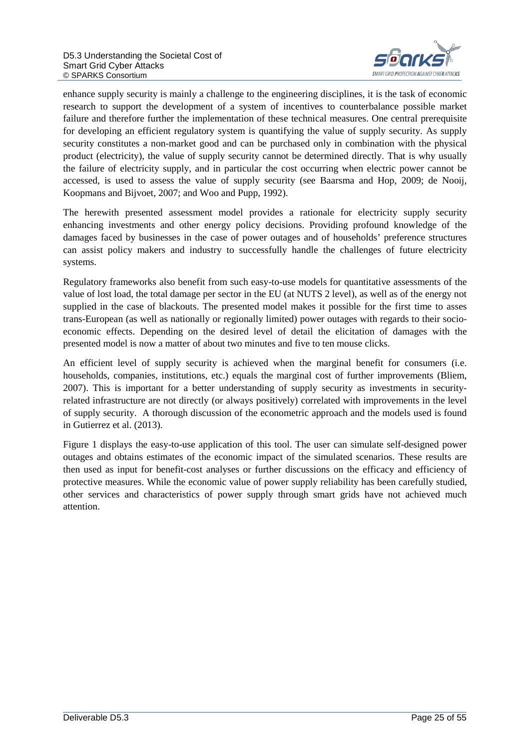

enhance supply security is mainly a challenge to the engineering disciplines, it is the task of economic research to support the development of a system of incentives to counterbalance possible market failure and therefore further the implementation of these technical measures. One central prerequisite for developing an efficient regulatory system is quantifying the value of supply security. As supply security constitutes a non-market good and can be purchased only in combination with the physical product (electricity), the value of supply security cannot be determined directly. That is why usually the failure of electricity supply, and in particular the cost occurring when electric power cannot be accessed, is used to assess the value of supply security (see Baarsma and Hop, 2009; de Nooij, Koopmans and Bijvoet, 2007; and Woo and Pupp, 1992).

The herewith presented assessment model provides a rationale for electricity supply security enhancing investments and other energy policy decisions. Providing profound knowledge of the damages faced by businesses in the case of power outages and of households' preference structures can assist policy makers and industry to successfully handle the challenges of future electricity systems.

Regulatory frameworks also benefit from such easy-to-use models for quantitative assessments of the value of lost load, the total damage per sector in the EU (at NUTS 2 level), as well as of the energy not supplied in the case of blackouts. The presented model makes it possible for the first time to asses trans-European (as well as nationally or regionally limited) power outages with regards to their socioeconomic effects. Depending on the desired level of detail the elicitation of damages with the presented model is now a matter of about two minutes and five to ten mouse clicks.

An efficient level of supply security is achieved when the marginal benefit for consumers (i.e. households, companies, institutions, etc.) equals the marginal cost of further improvements (Bliem, 2007). This is important for a better understanding of supply security as investments in securityrelated infrastructure are not directly (or always positively) correlated with improvements in the level of supply security. A thorough discussion of the econometric approach and the models used is found in Gutierrez et al. (2013).

[Figure 1](#page-17-1) displays the easy-to-use application of this tool. The user can simulate self-designed power outages and obtains estimates of the economic impact of the simulated scenarios. These results are then used as input for benefit-cost analyses or further discussions on the efficacy and efficiency of protective measures. While the economic value of power supply reliability has been carefully studied, other services and characteristics of power supply through smart grids have not achieved much attention.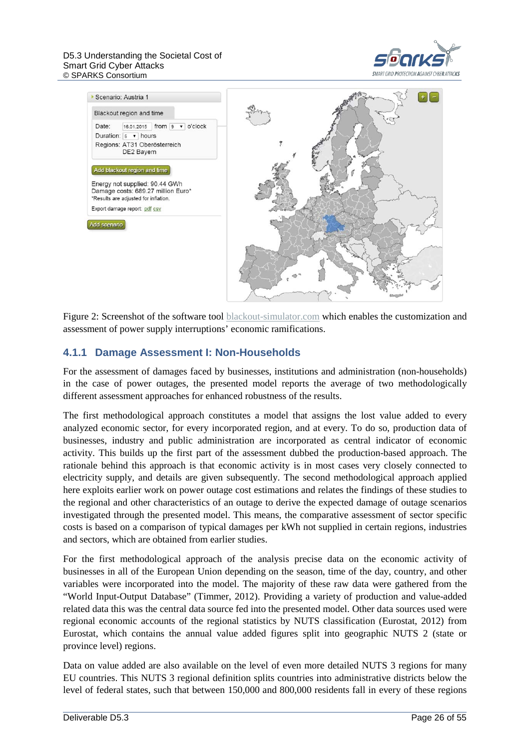#### D5.3 Understanding the Societal Cost of Smart Grid Cyber Attacks © SPARKS Consortium





<span id="page-25-1"></span>Figure 2: Screenshot of the software tool [blackout-simulator.com](http://www.blackout-simulator.com/) which enables the customization and assessment of power supply interruptions' economic ramifications.

#### <span id="page-25-0"></span>**4.1.1 Damage Assessment I: Non-Households**

For the assessment of damages faced by businesses, institutions and administration (non-households) in the case of power outages, the presented model reports the average of two methodologically different assessment approaches for enhanced robustness of the results.

The first methodological approach constitutes a model that assigns the lost value added to every analyzed economic sector, for every incorporated region, and at every. To do so, production data of businesses, industry and public administration are incorporated as central indicator of economic activity. This builds up the first part of the assessment dubbed the production-based approach. The rationale behind this approach is that economic activity is in most cases very closely connected to electricity supply, and details are given subsequently. The second methodological approach applied here exploits earlier work on power outage cost estimations and relates the findings of these studies to the regional and other characteristics of an outage to derive the expected damage of outage scenarios investigated through the presented model. This means, the comparative assessment of sector specific costs is based on a comparison of typical damages per kWh not supplied in certain regions, industries and sectors, which are obtained from earlier studies.

For the first methodological approach of the analysis precise data on the economic activity of businesses in all of the European Union depending on the season, time of the day, country, and other variables were incorporated into the model. The majority of these raw data were gathered from the "World Input-Output Database" (Timmer, 2012). Providing a variety of production and value-added related data this was the central data source fed into the presented model. Other data sources used were regional economic accounts of the regional statistics by NUTS classification (Eurostat, 2012) from Eurostat, which contains the annual value added figures split into geographic NUTS 2 (state or province level) regions.

Data on value added are also available on the level of even more detailed NUTS 3 regions for many EU countries. This NUTS 3 regional definition splits countries into administrative districts below the level of federal states, such that between 150,000 and 800,000 residents fall in every of these regions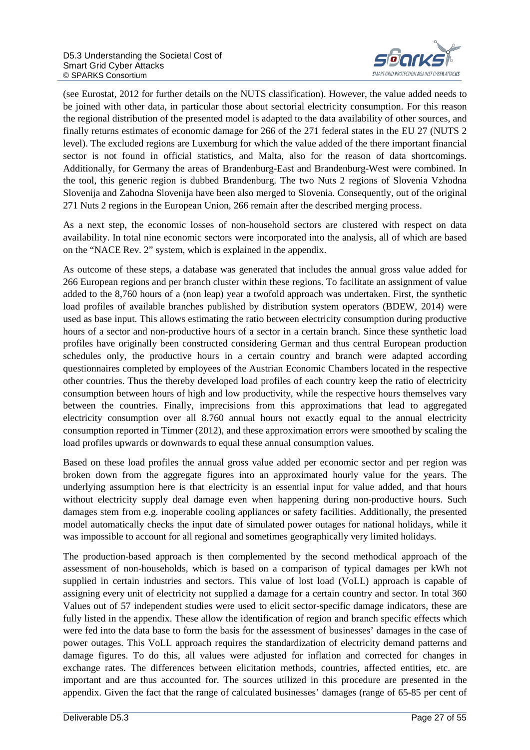

(see Eurostat, 2012 for further details on the NUTS classification). However, the value added needs to be joined with other data, in particular those about sectorial electricity consumption. For this reason the regional distribution of the presented model is adapted to the data availability of other sources, and finally returns estimates of economic damage for 266 of the 271 federal states in the EU 27 (NUTS 2 level). The excluded regions are Luxemburg for which the value added of the there important financial sector is not found in official statistics, and Malta, also for the reason of data shortcomings. Additionally, for Germany the areas of Brandenburg-East and Brandenburg-West were combined. In the tool, this generic region is dubbed Brandenburg. The two Nuts 2 regions of Slovenia Vzhodna Slovenija and Zahodna Slovenija have been also merged to Slovenia. Consequently, out of the original 271 Nuts 2 regions in the European Union, 266 remain after the described merging process.

As a next step, the economic losses of non-household sectors are clustered with respect on data availability. In total nine economic sectors were incorporated into the analysis, all of which are based on the "NACE Rev. 2" system, which is explained in the appendix.

As outcome of these steps, a database was generated that includes the annual gross value added for 266 European regions and per branch cluster within these regions. To facilitate an assignment of value added to the 8,760 hours of a (non leap) year a twofold approach was undertaken. First, the synthetic load profiles of available branches published by distribution system operators (BDEW, 2014) were used as base input. This allows estimating the ratio between electricity consumption during productive hours of a sector and non-productive hours of a sector in a certain branch. Since these synthetic load profiles have originally been constructed considering German and thus central European production schedules only, the productive hours in a certain country and branch were adapted according questionnaires completed by employees of the Austrian Economic Chambers located in the respective other countries. Thus the thereby developed load profiles of each country keep the ratio of electricity consumption between hours of high and low productivity, while the respective hours themselves vary between the countries. Finally, imprecisions from this approximations that lead to aggregated electricity consumption over all 8.760 annual hours not exactly equal to the annual electricity consumption reported in Timmer (2012), and these approximation errors were smoothed by scaling the load profiles upwards or downwards to equal these annual consumption values.

Based on these load profiles the annual gross value added per economic sector and per region was broken down from the aggregate figures into an approximated hourly value for the years. The underlying assumption here is that electricity is an essential input for value added, and that hours without electricity supply deal damage even when happening during non-productive hours. Such damages stem from e.g. inoperable cooling appliances or safety facilities. Additionally, the presented model automatically checks the input date of simulated power outages for national holidays, while it was impossible to account for all regional and sometimes geographically very limited holidays.

The production-based approach is then complemented by the second methodical approach of the assessment of non-households, which is based on a comparison of typical damages per kWh not supplied in certain industries and sectors. This value of lost load (VoLL) approach is capable of assigning every unit of electricity not supplied a damage for a certain country and sector. In total 360 Values out of 57 independent studies were used to elicit sector-specific damage indicators, these are fully listed in the appendix. These allow the identification of region and branch specific effects which were fed into the data base to form the basis for the assessment of businesses' damages in the case of power outages. This VoLL approach requires the standardization of electricity demand patterns and damage figures. To do this, all values were adjusted for inflation and corrected for changes in exchange rates. The differences between elicitation methods, countries, affected entities, etc. are important and are thus accounted for. The sources utilized in this procedure are presented in the appendix. Given the fact that the range of calculated businesses' damages (range of 65-85 per cent of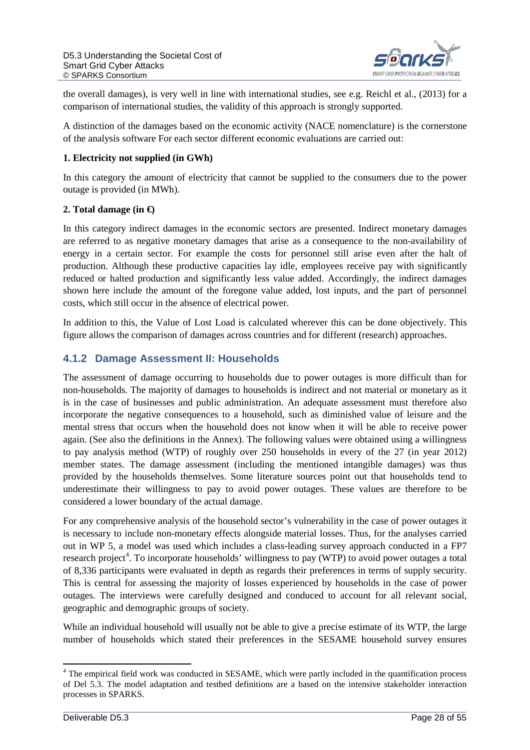

the overall damages), is very well in line with international studies, see e.g. Reichl et al., (2013) for a comparison of international studies, the validity of this approach is strongly supported.

A distinction of the damages based on the economic activity (NACE nomenclature) is the cornerstone of the analysis software For each sector different economic evaluations are carried out:

#### **1. Electricity not supplied (in GWh)**

In this category the amount of electricity that cannot be supplied to the consumers due to the power outage is provided (in MWh).

#### **2. Total damage (in €)**

In this category indirect damages in the economic sectors are presented. Indirect monetary damages are referred to as negative monetary damages that arise as a consequence to the non-availability of energy in a certain sector. For example the costs for personnel still arise even after the halt of production. Although these productive capacities lay idle, employees receive pay with significantly reduced or halted production and significantly less value added. Accordingly, the indirect damages shown here include the amount of the foregone value added, lost inputs, and the part of personnel costs, which still occur in the absence of electrical power.

In addition to this, the Value of Lost Load is calculated wherever this can be done objectively. This figure allows the comparison of damages across countries and for different (research) approaches.

#### <span id="page-27-0"></span>**4.1.2 Damage Assessment II: Households**

The assessment of damage occurring to households due to power outages is more difficult than for non-households. The majority of damages to households is indirect and not material or monetary as it is in the case of businesses and public administration. An adequate assessment must therefore also incorporate the negative consequences to a household, such as diminished value of leisure and the mental stress that occurs when the household does not know when it will be able to receive power again. (See also the definitions in the Annex). The following values were obtained using a willingness to pay analysis method (WTP) of roughly over 250 households in every of the 27 (in year 2012) member states. The damage assessment (including the mentioned intangible damages) was thus provided by the households themselves. Some literature sources point out that households tend to underestimate their willingness to pay to avoid power outages. These values are therefore to be considered a lower boundary of the actual damage.

For any comprehensive analysis of the household sector's vulnerability in the case of power outages it is necessary to include non-monetary effects alongside material losses. Thus, for the analyses carried out in WP 5, a model was used which includes a class-leading survey approach conducted in a FP7 research project<sup>[4](#page-32-0)</sup>. To incorporate households' willingness to pay (WTP) to avoid power outages a total of 8,336 participants were evaluated in depth as regards their preferences in terms of supply security. This is central for assessing the majority of losses experienced by households in the case of power outages. The interviews were carefully designed and conduced to account for all relevant social, geographic and demographic groups of society.

While an individual household will usually not be able to give a precise estimate of its WTP, the large number of households which stated their preferences in the SESAME household survey ensures

<sup>&</sup>lt;sup>4</sup> The empirical field work was conducted in SESAME, which were partly included in the quantification process of Del 5.3. The model adaptation and testbed definitions are a based on the intensive stakeholder interaction processes in SPARKS.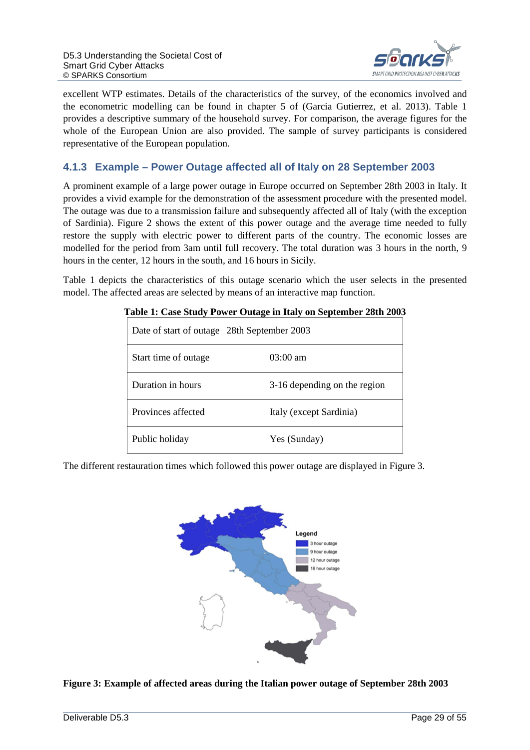

excellent WTP estimates. Details of the characteristics of the survey, of the economics involved and the econometric modelling can be found in chapter 5 of (Garcia Gutierrez, et al. 2013). [Table 1](#page-28-3) provides a descriptive summary of the household survey. For comparison, the average figures for the whole of the European Union are also provided. The sample of survey participants is considered representative of the European population.

### <span id="page-28-0"></span>**4.1.3 Example – Power Outage affected all of Italy on 28 September 2003**

A prominent example of a large power outage in Europe occurred on September 28th 2003 in Italy. It provides a vivid example for the demonstration of the assessment procedure with the presented model. The outage was due to a transmission failure and subsequently affected all of Italy (with the exception of Sardinia). Figure 2 shows the extent of this power outage and the average time needed to fully restore the supply with electric power to different parts of the country. The economic losses are modelled for the period from 3am until full recovery. The total duration was 3 hours in the north, 9 hours in the center, 12 hours in the south, and 16 hours in Sicily.

<span id="page-28-3"></span>[Table 1](#page-28-3) depicts the characteristics of this outage scenario which the user selects in the presented model. The affected areas are selected by means of an interactive map function.

| Date of start of outage 28th September 2003 |                              |  |  |  |
|---------------------------------------------|------------------------------|--|--|--|
| Start time of outage                        | $03:00 \text{ am}$           |  |  |  |
| Duration in hours                           | 3-16 depending on the region |  |  |  |
| Provinces affected                          | Italy (except Sardinia)      |  |  |  |
| Public holiday                              | Yes (Sunday)                 |  |  |  |

The different restauration times which followed this power outage are displayed in [Figure 3.](#page-28-1)



<span id="page-28-2"></span><span id="page-28-1"></span>**Figure 3: Example of affected areas during the Italian power outage of September 28th 2003**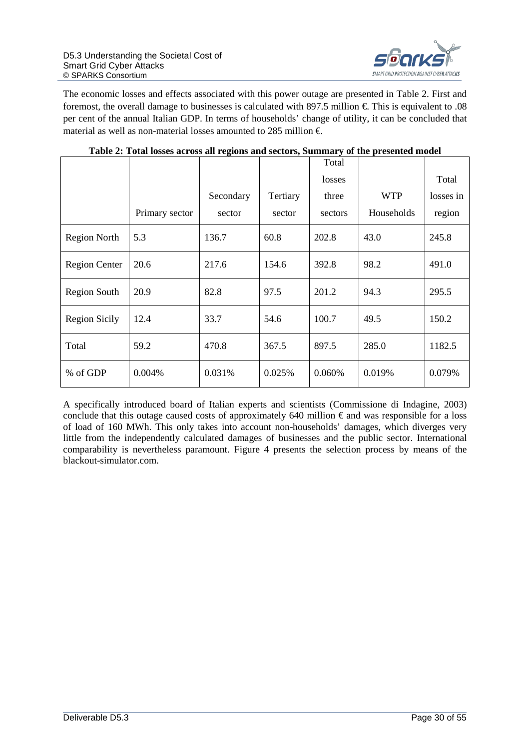

The economic losses and effects associated with this power outage are presented in [Table 2.](#page-29-0) First and foremost, the overall damage to businesses is calculated with 897.5 million  $\epsilon$ . This is equivalent to .08 per cent of the annual Italian GDP. In terms of households' change of utility, it can be concluded that material as well as non-material losses amounted to 285 million  $\in$ 

<span id="page-29-0"></span>

|                      |                |           |          | Total   |            |           |
|----------------------|----------------|-----------|----------|---------|------------|-----------|
|                      |                |           |          | losses  |            | Total     |
|                      |                | Secondary | Tertiary | three   | <b>WTP</b> | losses in |
|                      | Primary sector | sector    | sector   | sectors | Households | region    |
| <b>Region North</b>  | 5.3            | 136.7     | 60.8     | 202.8   | 43.0       | 245.8     |
| <b>Region Center</b> | 20.6           | 217.6     | 154.6    | 392.8   | 98.2       | 491.0     |
| <b>Region South</b>  | 20.9           | 82.8      | 97.5     | 201.2   | 94.3       | 295.5     |
| <b>Region Sicily</b> | 12.4           | 33.7      | 54.6     | 100.7   | 49.5       | 150.2     |
| Total                | 59.2           | 470.8     | 367.5    | 897.5   | 285.0      | 1182.5    |
| % of GDP             | 0.004%         | 0.031%    | 0.025%   | 0.060%  | 0.019%     | 0.079%    |

**Table 2: Total losses across all regions and sectors, Summary of the presented model**

A specifically introduced board of Italian experts and scientists (Commissione di Indagine, 2003) conclude that this outage caused costs of approximately 640 million  $\epsilon$  and was responsible for a loss of load of 160 MWh. This only takes into account non-households' damages, which diverges very little from the independently calculated damages of businesses and the public sector. International comparability is nevertheless paramount. [Figure 4](#page-30-0) presents the selection process by means of the blackout-simulator.com.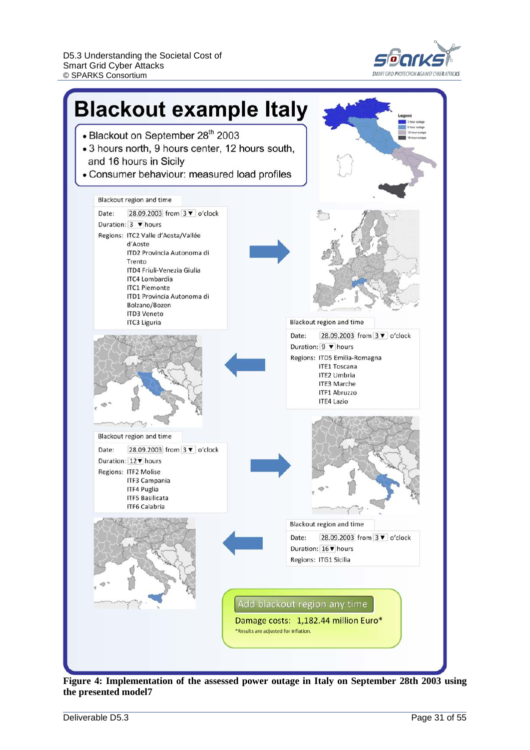



<span id="page-30-0"></span>**Figure 4: Implementation of the assessed power outage in Italy on September 28th 2003 using the presented model7**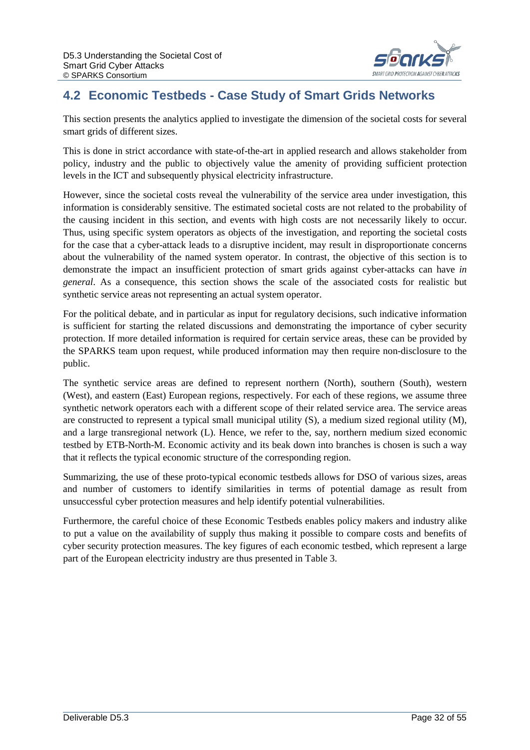

# <span id="page-31-0"></span>**4.2 Economic Testbeds - Case Study of Smart Grids Networks**

This section presents the analytics applied to investigate the dimension of the societal costs for several smart grids of different sizes.

This is done in strict accordance with state-of-the-art in applied research and allows stakeholder from policy, industry and the public to objectively value the amenity of providing sufficient protection levels in the ICT and subsequently physical electricity infrastructure.

However, since the societal costs reveal the vulnerability of the service area under investigation, this information is considerably sensitive. The estimated societal costs are not related to the probability of the causing incident in this section, and events with high costs are not necessarily likely to occur. Thus, using specific system operators as objects of the investigation, and reporting the societal costs for the case that a cyber-attack leads to a disruptive incident, may result in disproportionate concerns about the vulnerability of the named system operator. In contrast, the objective of this section is to demonstrate the impact an insufficient protection of smart grids against cyber-attacks can have *in general*. As a consequence, this section shows the scale of the associated costs for realistic but synthetic service areas not representing an actual system operator.

For the political debate, and in particular as input for regulatory decisions, such indicative information is sufficient for starting the related discussions and demonstrating the importance of cyber security protection. If more detailed information is required for certain service areas, these can be provided by the SPARKS team upon request, while produced information may then require non-disclosure to the public.

The synthetic service areas are defined to represent northern (North), southern (South), western (West), and eastern (East) European regions, respectively. For each of these regions, we assume three synthetic network operators each with a different scope of their related service area. The service areas are constructed to represent a typical small municipal utility  $(S)$ , a medium sized regional utility  $(M)$ , and a large transregional network (L). Hence, we refer to the, say, northern medium sized economic testbed by ETB-North-M. Economic activity and its beak down into branches is chosen is such a way that it reflects the typical economic structure of the corresponding region.

Summarizing, the use of these proto-typical economic testbeds allows for DSO of various sizes, areas and number of customers to identify similarities in terms of potential damage as result from unsuccessful cyber protection measures and help identify potential vulnerabilities.

Furthermore, the careful choice of these Economic Testbeds enables policy makers and industry alike to put a value on the availability of supply thus making it possible to compare costs and benefits of cyber security protection measures. The key figures of each economic testbed, which represent a large part of the European electricity industry are thus presented i[n Table 3.](#page-32-1)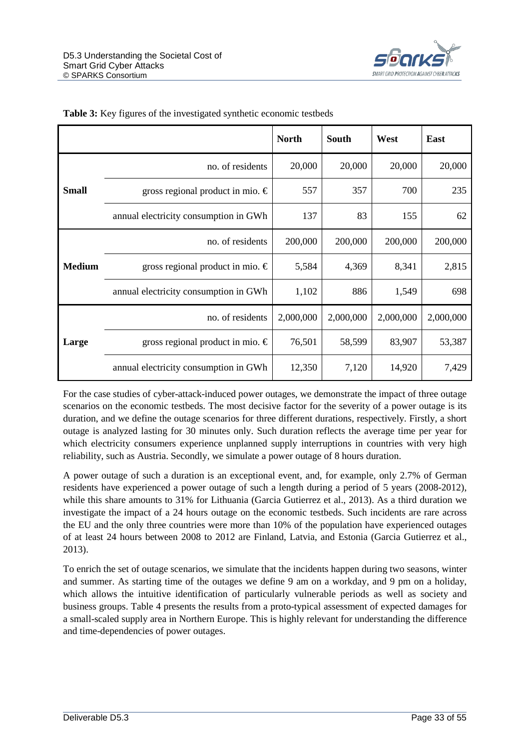

|               |                                       | <b>North</b> | <b>South</b> | West      | East      |
|---------------|---------------------------------------|--------------|--------------|-----------|-----------|
|               | no. of residents                      | 20,000       | 20,000       | 20,000    | 20,000    |
| <b>Small</b>  | gross regional product in mio. $\in$  | 557          | 357          | 700       | 235       |
|               | annual electricity consumption in GWh | 137          | 83           | 155       | 62        |
|               | no. of residents                      | 200,000      | 200,000      | 200,000   | 200,000   |
| <b>Medium</b> | gross regional product in mio. $€$    | 5,584        | 4,369        | 8,341     | 2,815     |
|               | annual electricity consumption in GWh | 1,102        | 886          | 1,549     | 698       |
|               | no. of residents                      | 2,000,000    | 2,000,000    | 2,000,000 | 2,000,000 |
| Large         | gross regional product in mio. $€$    | 76,501       | 58,599       | 83,907    | 53,387    |
|               | annual electricity consumption in GWh | 12,350       | 7,120        | 14,920    | 7,429     |

#### <span id="page-32-1"></span>**Table 3:** Key figures of the investigated synthetic economic testbeds

For the case studies of cyber-attack-induced power outages, we demonstrate the impact of three outage scenarios on the economic testbeds. The most decisive factor for the severity of a power outage is its duration, and we define the outage scenarios for three different durations, respectively. Firstly, a short outage is analyzed lasting for 30 minutes only. Such duration reflects the average time per year for which electricity consumers experience unplanned supply interruptions in countries with very high reliability, such as Austria. Secondly, we simulate a power outage of 8 hours duration.

A power outage of such a duration is an exceptional event, and, for example, only 2.7% of German residents have experienced a power outage of such a length during a period of 5 years (2008-2012), while this share amounts to 31% for Lithuania (Garcia Gutierrez et al., 2013). As a third duration we investigate the impact of a 24 hours outage on the economic testbeds. Such incidents are rare across the EU and the only three countries were more than 10% of the population have experienced outages of at least 24 hours between 2008 to 2012 are Finland, Latvia, and Estonia (Garcia Gutierrez et al., 2013).

<span id="page-32-0"></span>To enrich the set of outage scenarios, we simulate that the incidents happen during two seasons, winter and summer. As starting time of the outages we define 9 am on a workday, and 9 pm on a holiday, which allows the intuitive identification of particularly vulnerable periods as well as society and business groups. [Table 4](#page-33-0) presents the results from a proto-typical assessment of expected damages for a small-scaled supply area in Northern Europe. This is highly relevant for understanding the difference and time-dependencies of power outages.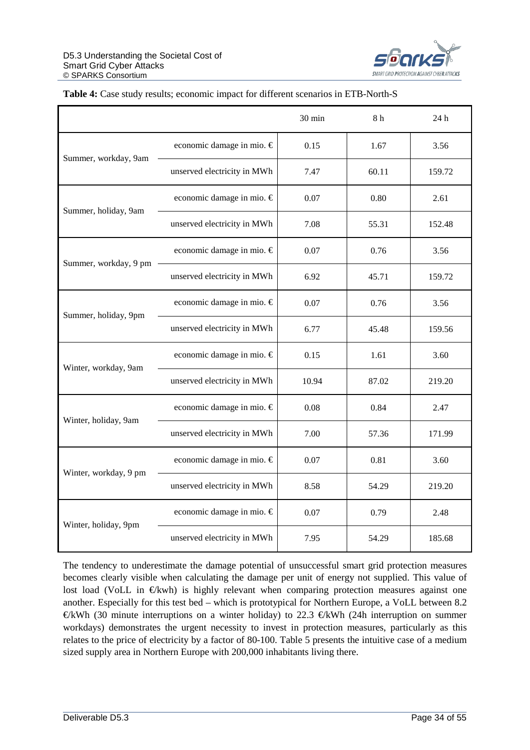

|                       |                               | 30 min | 8h    | 24h    |
|-----------------------|-------------------------------|--------|-------|--------|
| Summer, workday, 9am  | economic damage in mio. $\in$ | 0.15   | 1.67  | 3.56   |
|                       | unserved electricity in MWh   | 7.47   | 60.11 | 159.72 |
| Summer, holiday, 9am  | economic damage in mio. €     | 0.07   | 0.80  | 2.61   |
|                       | unserved electricity in MWh   | 7.08   | 55.31 | 152.48 |
| Summer, workday, 9 pm | economic damage in mio. €     | 0.07   | 0.76  | 3.56   |
|                       | unserved electricity in MWh   | 6.92   | 45.71 | 159.72 |
| Summer, holiday, 9pm  | economic damage in mio. €     | 0.07   | 0.76  | 3.56   |
|                       | unserved electricity in MWh   | 6.77   | 45.48 | 159.56 |
| Winter, workday, 9am  | economic damage in mio. €     | 0.15   | 1.61  | 3.60   |
|                       | unserved electricity in MWh   | 10.94  | 87.02 | 219.20 |
| Winter, holiday, 9am  | economic damage in mio. €     | 0.08   | 0.84  | 2.47   |
|                       | unserved electricity in MWh   | 7.00   | 57.36 | 171.99 |
| Winter, workday, 9 pm | economic damage in mio. €     | 0.07   | 0.81  | 3.60   |
|                       | unserved electricity in MWh   | 8.58   | 54.29 | 219.20 |
|                       | economic damage in mio. €     | 0.07   | 0.79  | 2.48   |
| Winter, holiday, 9pm  | unserved electricity in MWh   | 7.95   | 54.29 | 185.68 |

#### <span id="page-33-0"></span>**Table 4:** Case study results; economic impact for different scenarios in ETB-North-S

The tendency to underestimate the damage potential of unsuccessful smart grid protection measures becomes clearly visible when calculating the damage per unit of energy not supplied. This value of lost load (VoLL in  $E$ kwh) is highly relevant when comparing protection measures against one another. Especially for this test bed – which is prototypical for Northern Europe, a VoLL between 8.2  $E$ kWh (30 minute interruptions on a winter holiday) to 22.3  $E$ kWh (24h interruption on summer workdays) demonstrates the urgent necessity to invest in protection measures, particularly as this relates to the price of electricity by a factor of 80-100. [Table 5](#page-34-0) presents the intuitive case of a medium sized supply area in Northern Europe with 200,000 inhabitants living there.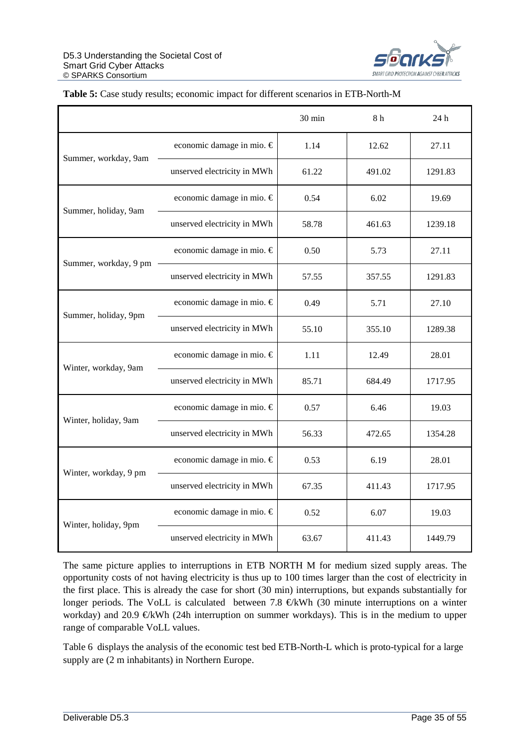

|                       |                               | 30 min | 8h     | 24h     |
|-----------------------|-------------------------------|--------|--------|---------|
| Summer, workday, 9am  | economic damage in mio. €     | 1.14   | 12.62  | 27.11   |
|                       | unserved electricity in MWh   | 61.22  | 491.02 | 1291.83 |
| Summer, holiday, 9am  | economic damage in mio. €     | 0.54   | 6.02   | 19.69   |
|                       | unserved electricity in MWh   | 58.78  | 461.63 | 1239.18 |
| Summer, workday, 9 pm | economic damage in mio. €     | 0.50   | 5.73   | 27.11   |
|                       | unserved electricity in MWh   | 57.55  | 357.55 | 1291.83 |
| Summer, holiday, 9pm  | economic damage in mio. $\in$ | 0.49   | 5.71   | 27.10   |
|                       | unserved electricity in MWh   | 55.10  | 355.10 | 1289.38 |
| Winter, workday, 9am  | economic damage in mio. €     | 1.11   | 12.49  | 28.01   |
|                       | unserved electricity in MWh   | 85.71  | 684.49 | 1717.95 |
| Winter, holiday, 9am  | economic damage in mio. €     | 0.57   | 6.46   | 19.03   |
|                       | unserved electricity in MWh   | 56.33  | 472.65 | 1354.28 |
| Winter, workday, 9 pm | economic damage in mio. €     | 0.53   | 6.19   | 28.01   |
|                       | unserved electricity in MWh   | 67.35  | 411.43 | 1717.95 |
|                       | economic damage in mio. €     | 0.52   | 6.07   | 19.03   |
| Winter, holiday, 9pm  | unserved electricity in MWh   | 63.67  | 411.43 | 1449.79 |

#### <span id="page-34-0"></span>**Table 5:** Case study results; economic impact for different scenarios in ETB-North-M

The same picture applies to interruptions in ETB NORTH M for medium sized supply areas. The opportunity costs of not having electricity is thus up to 100 times larger than the cost of electricity in the first place. This is already the case for short (30 min) interruptions, but expands substantially for longer periods. The VoLL is calculated between 7.8  $\in$ KWh (30 minute interruptions on a winter workday) and 20.9  $\bigoplus$  KWh (24h interruption on summer workdays). This is in the medium to upper range of comparable VoLL values.

[Table 6](#page-35-0) displays the analysis of the economic test bed ETB-North-L which is proto-typical for a large supply are (2 m inhabitants) in Northern Europe.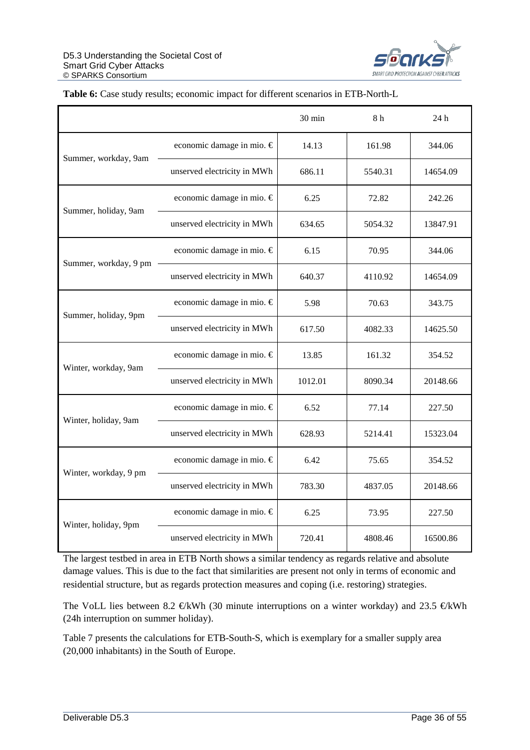

|                       |                             | 30 min  | 8h      | 24h      |
|-----------------------|-----------------------------|---------|---------|----------|
| Summer, workday, 9am  | economic damage in mio. €   | 14.13   | 161.98  | 344.06   |
|                       | unserved electricity in MWh | 686.11  | 5540.31 | 14654.09 |
| Summer, holiday, 9am  | economic damage in mio. €   | 6.25    | 72.82   | 242.26   |
|                       | unserved electricity in MWh | 634.65  | 5054.32 | 13847.91 |
| Summer, workday, 9 pm | economic damage in mio. €   | 6.15    | 70.95   | 344.06   |
|                       | unserved electricity in MWh | 640.37  | 4110.92 | 14654.09 |
| Summer, holiday, 9pm  | economic damage in mio. €   | 5.98    | 70.63   | 343.75   |
|                       | unserved electricity in MWh | 617.50  | 4082.33 | 14625.50 |
| Winter, workday, 9am  | economic damage in mio. €   | 13.85   | 161.32  | 354.52   |
|                       | unserved electricity in MWh | 1012.01 | 8090.34 | 20148.66 |
| Winter, holiday, 9am  | economic damage in mio. €   | 6.52    | 77.14   | 227.50   |
|                       | unserved electricity in MWh | 628.93  | 5214.41 | 15323.04 |
|                       | economic damage in mio. €   | 6.42    | 75.65   | 354.52   |
| Winter, workday, 9 pm | unserved electricity in MWh | 783.30  | 4837.05 | 20148.66 |
| Winter, holiday, 9pm  | economic damage in mio. €   | 6.25    | 73.95   | 227.50   |
|                       | unserved electricity in MWh | 720.41  | 4808.46 | 16500.86 |

#### <span id="page-35-0"></span>**Table 6:** Case study results; economic impact for different scenarios in ETB-North-L

The largest testbed in area in ETB North shows a similar tendency as regards relative and absolute damage values. This is due to the fact that similarities are present not only in terms of economic and residential structure, but as regards protection measures and coping (i.e. restoring) strategies.

The VoLL lies between 8.2  $\in$ kWh (30 minute interruptions on a winter workday) and 23.5  $\in$ kWh (24h interruption on summer holiday).

[Table 7](#page-36-0) presents the calculations for ETB-South-S, which is exemplary for a smaller supply area (20,000 inhabitants) in the South of Europe.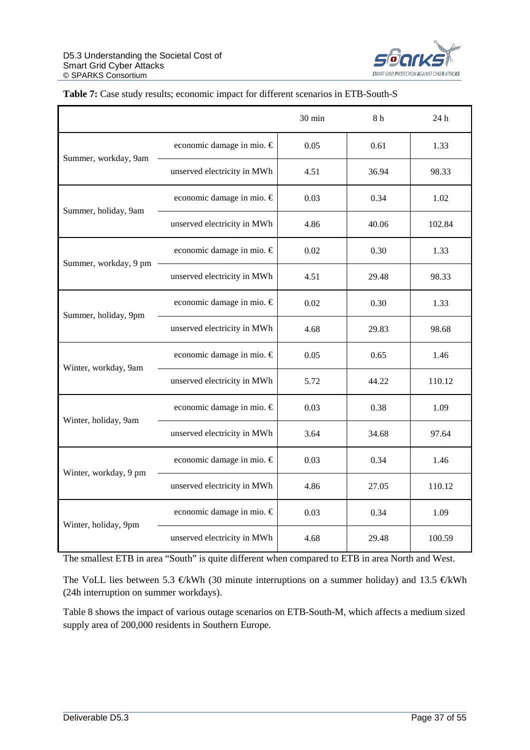

|                       |                             | 30 min | 8h    | 24 h   |
|-----------------------|-----------------------------|--------|-------|--------|
| Summer, workday, 9am  | economic damage in mio. €   | 0.05   | 0.61  | 1.33   |
|                       | unserved electricity in MWh | 4.51   | 36.94 | 98.33  |
| Summer, holiday, 9am  | economic damage in mio. €   | 0.03   | 0.34  | 1.02   |
|                       | unserved electricity in MWh | 4.86   | 40.06 | 102.84 |
| Summer, workday, 9 pm | economic damage in mio. €   | 0.02   | 0.30  | 1.33   |
|                       | unserved electricity in MWh | 4.51   | 29.48 | 98.33  |
| Summer, holiday, 9pm  | economic damage in mio. €   | 0.02   | 0.30  | 1.33   |
|                       | unserved electricity in MWh | 4.68   | 29.83 | 98.68  |
| Winter, workday, 9am  | economic damage in mio. €   | 0.05   | 0.65  | 1.46   |
|                       | unserved electricity in MWh | 5.72   | 44.22 | 110.12 |
| Winter, holiday, 9am  | economic damage in mio. €   | 0.03   | 0.38  | 1.09   |
|                       | unserved electricity in MWh | 3.64   | 34.68 | 97.64  |
| Winter, workday, 9 pm | economic damage in mio. €   | 0.03   | 0.34  | 1.46   |
|                       | unserved electricity in MWh | 4.86   | 27.05 | 110.12 |
|                       | economic damage in mio. €   | 0.03   | 0.34  | 1.09   |
| Winter, holiday, 9pm  | unserved electricity in MWh | 4.68   | 29.48 | 100.59 |

#### <span id="page-36-0"></span>**Table 7:** Case study results; economic impact for different scenarios in ETB-South-S

The smallest ETB in area "South" is quite different when compared to ETB in area North and West.

The VoLL lies between 5.3 €kWh (30 minute interruptions on a summer holiday) and 13.5 €kWh (24h interruption on summer workdays).

[Table 8](#page-37-0) shows the impact of various outage scenarios on ETB-South-M, which affects a medium sized supply area of 200,000 residents in Southern Europe.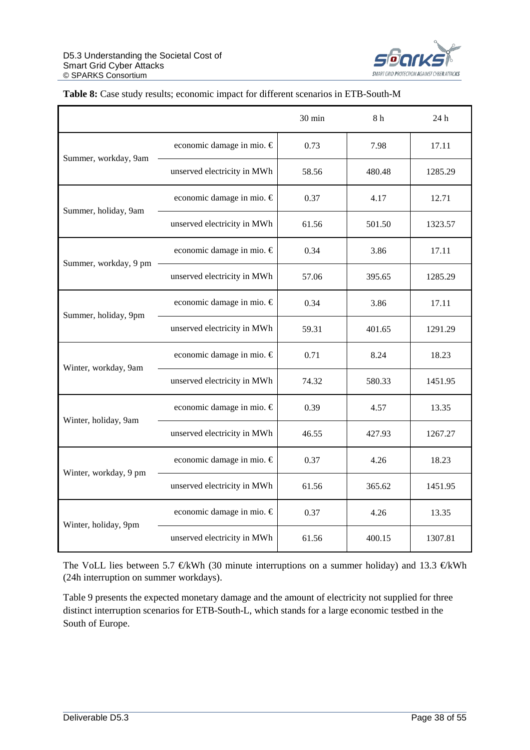

|                       |                             | 30 min | 8 h    | 24h     |
|-----------------------|-----------------------------|--------|--------|---------|
| Summer, workday, 9am  | economic damage in mio. €   | 0.73   | 7.98   | 17.11   |
|                       | unserved electricity in MWh | 58.56  | 480.48 | 1285.29 |
| Summer, holiday, 9am  | economic damage in mio. €   | 0.37   | 4.17   | 12.71   |
|                       | unserved electricity in MWh | 61.56  | 501.50 | 1323.57 |
| Summer, workday, 9 pm | economic damage in mio. €   | 0.34   | 3.86   | 17.11   |
|                       | unserved electricity in MWh | 57.06  | 395.65 | 1285.29 |
|                       | economic damage in mio. €   | 0.34   | 3.86   | 17.11   |
| Summer, holiday, 9pm  | unserved electricity in MWh | 59.31  | 401.65 | 1291.29 |
| Winter, workday, 9am  | economic damage in mio. €   | 0.71   | 8.24   | 18.23   |
|                       | unserved electricity in MWh | 74.32  | 580.33 | 1451.95 |
| Winter, holiday, 9am  | economic damage in mio. €   | 0.39   | 4.57   | 13.35   |
|                       | unserved electricity in MWh | 46.55  | 427.93 | 1267.27 |
| Winter, workday, 9 pm | economic damage in mio. €   | 0.37   | 4.26   | 18.23   |
|                       | unserved electricity in MWh | 61.56  | 365.62 | 1451.95 |
| Winter, holiday, 9pm  | economic damage in mio. €   | 0.37   | 4.26   | 13.35   |
|                       | unserved electricity in MWh | 61.56  | 400.15 | 1307.81 |

#### <span id="page-37-0"></span>**Table 8:** Case study results; economic impact for different scenarios in ETB-South-M

The VoLL lies between 5.7  $\in$ kWh (30 minute interruptions on a summer holiday) and 13.3  $\in$ kWh (24h interruption on summer workdays).

[Table 9](#page-38-0) presents the expected monetary damage and the amount of electricity not supplied for three distinct interruption scenarios for ETB-South-L, which stands for a large economic testbed in the South of Europe.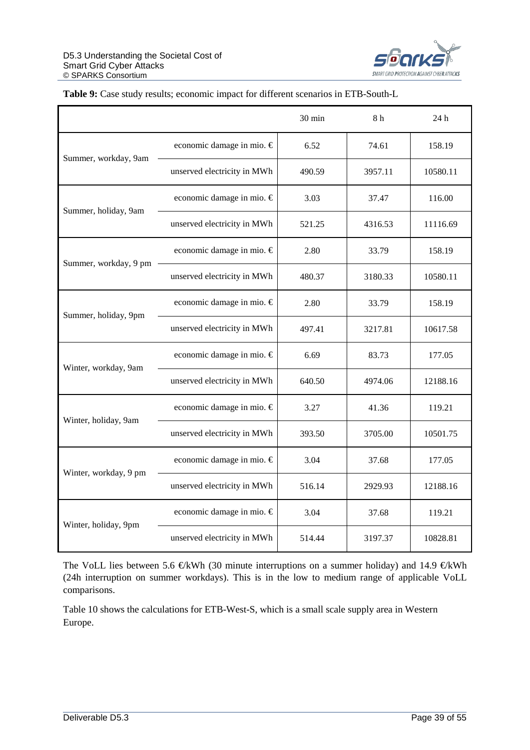

|                       |                             | 30 min | 8h      | 24h      |
|-----------------------|-----------------------------|--------|---------|----------|
| Summer, workday, 9am  | economic damage in mio. €   | 6.52   | 74.61   | 158.19   |
|                       | unserved electricity in MWh | 490.59 | 3957.11 | 10580.11 |
| Summer, holiday, 9am  | economic damage in mio. €   | 3.03   | 37.47   | 116.00   |
|                       | unserved electricity in MWh | 521.25 | 4316.53 | 11116.69 |
| Summer, workday, 9 pm | economic damage in mio. €   | 2.80   | 33.79   | 158.19   |
|                       | unserved electricity in MWh | 480.37 | 3180.33 | 10580.11 |
| Summer, holiday, 9pm  | economic damage in mio. €   | 2.80   | 33.79   | 158.19   |
|                       | unserved electricity in MWh | 497.41 | 3217.81 | 10617.58 |
|                       | economic damage in mio. €   | 6.69   | 83.73   | 177.05   |
| Winter, workday, 9am  | unserved electricity in MWh | 640.50 | 4974.06 | 12188.16 |
|                       | economic damage in mio. €   | 3.27   | 41.36   | 119.21   |
| Winter, holiday, 9am  | unserved electricity in MWh | 393.50 | 3705.00 | 10501.75 |
|                       | economic damage in mio. €   | 3.04   | 37.68   | 177.05   |
| Winter, workday, 9 pm | unserved electricity in MWh | 516.14 | 2929.93 | 12188.16 |
| Winter, holiday, 9pm  | economic damage in mio. €   | 3.04   | 37.68   | 119.21   |
|                       | unserved electricity in MWh | 514.44 | 3197.37 | 10828.81 |

#### <span id="page-38-0"></span>**Table 9:** Case study results; economic impact for different scenarios in ETB-South-L

The VoLL lies between 5.6  $\in$ kWh (30 minute interruptions on a summer holiday) and 14.9  $\in$ kWh (24h interruption on summer workdays). This is in the low to medium range of applicable VoLL comparisons.

[Table 10](#page-39-0) shows the calculations for ETB-West-S, which is a small scale supply area in Western Europe.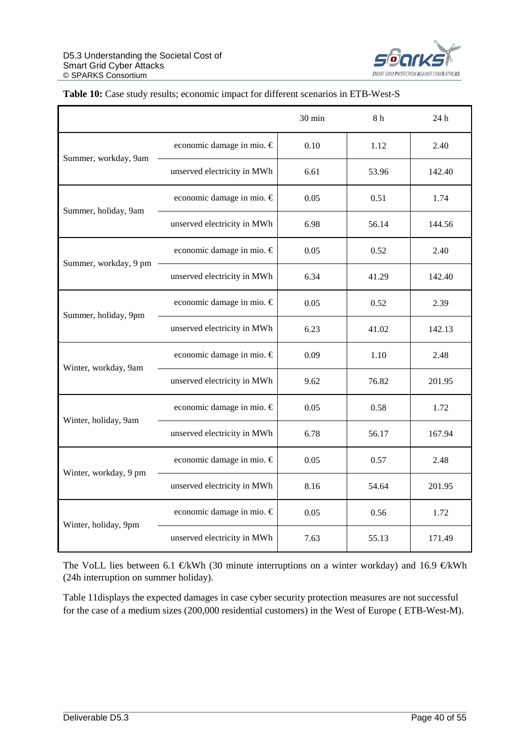

|                       |                               | 30 min | 8 h   | 24h    |
|-----------------------|-------------------------------|--------|-------|--------|
|                       | economic damage in mio. $\in$ | 0.10   | 1.12  | 2.40   |
| Summer, workday, 9am  | unserved electricity in MWh   | 6.61   | 53.96 | 142.40 |
| Summer, holiday, 9am  | economic damage in mio. €     | 0.05   | 0.51  | 1.74   |
|                       | unserved electricity in MWh   | 6.98   | 56.14 | 144.56 |
| Summer, workday, 9 pm | economic damage in mio. €     | 0.05   | 0.52  | 2.40   |
|                       | unserved electricity in MWh   | 6.34   | 41.29 | 142.40 |
| Summer, holiday, 9pm  | economic damage in mio. €     | 0.05   | 0.52  | 2.39   |
|                       | unserved electricity in MWh   | 6.23   | 41.02 | 142.13 |
| Winter, workday, 9am  | economic damage in mio. $\in$ | 0.09   | 1.10  | 2.48   |
|                       | unserved electricity in MWh   | 9.62   | 76.82 | 201.95 |
| Winter, holiday, 9am  | economic damage in mio. €     | 0.05   | 0.58  | 1.72   |
|                       | unserved electricity in MWh   | 6.78   | 56.17 | 167.94 |
| Winter, workday, 9 pm | economic damage in mio. €     | 0.05   | 0.57  | 2.48   |
|                       | unserved electricity in MWh   | 8.16   | 54.64 | 201.95 |
|                       | economic damage in mio. €     | 0.05   | 0.56  | 1.72   |
| Winter, holiday, 9pm  | unserved electricity in MWh   | 7.63   | 55.13 | 171.49 |

#### <span id="page-39-0"></span>Table 10: Case study results; economic impact for different scenarios in ETB-West-S

The VoLL lies between 6.1 €kWh (30 minute interruptions on a winter workday) and 16.9 €kWh (24h interruption on summer holiday).

[Table 11d](#page-40-0)isplays the expected damages in case cyber security protection measures are not successful for the case of a medium sizes (200,000 residential customers) in the West of Europe ( ETB-West-M).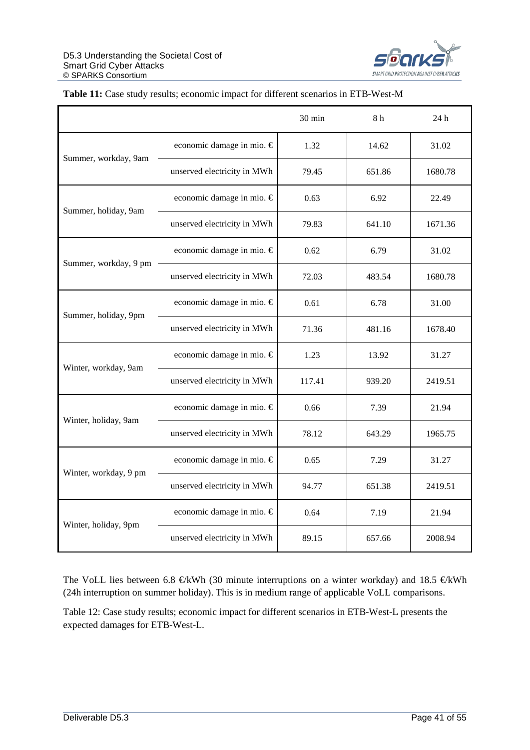

|                       |                               | 30 min | 8h     | 24h     |
|-----------------------|-------------------------------|--------|--------|---------|
| Summer, workday, 9am  | economic damage in mio. $\in$ | 1.32   | 14.62  | 31.02   |
|                       | unserved electricity in MWh   | 79.45  | 651.86 | 1680.78 |
| Summer, holiday, 9am  | economic damage in mio. €     | 0.63   | 6.92   | 22.49   |
|                       | unserved electricity in MWh   | 79.83  | 641.10 | 1671.36 |
| Summer, workday, 9 pm | economic damage in mio. €     | 0.62   | 6.79   | 31.02   |
|                       | unserved electricity in MWh   | 72.03  | 483.54 | 1680.78 |
| Summer, holiday, 9pm  | economic damage in mio. €     | 0.61   | 6.78   | 31.00   |
|                       | unserved electricity in MWh   | 71.36  | 481.16 | 1678.40 |
|                       | economic damage in mio. €     | 1.23   | 13.92  | 31.27   |
| Winter, workday, 9am  | unserved electricity in MWh   | 117.41 | 939.20 | 2419.51 |
| Winter, holiday, 9am  | economic damage in mio. €     | 0.66   | 7.39   | 21.94   |
|                       | unserved electricity in MWh   | 78.12  | 643.29 | 1965.75 |
| Winter, workday, 9 pm | economic damage in mio. €     | 0.65   | 7.29   | 31.27   |
|                       | unserved electricity in MWh   | 94.77  | 651.38 | 2419.51 |
| Winter, holiday, 9pm  | economic damage in mio. $\in$ | 0.64   | 7.19   | 21.94   |
|                       | unserved electricity in MWh   | 89.15  | 657.66 | 2008.94 |

#### <span id="page-40-0"></span>**Table 11:** Case study results; economic impact for different scenarios in ETB-West-M

The VoLL lies between 6.8  $\in$ kWh (30 minute interruptions on a winter workday) and 18.5  $\in$ kWh (24h interruption on summer holiday). This is in medium range of applicable VoLL comparisons.

[Table 12: Case study results; economic impact for different scenarios in ETB-West-L](#page-41-0) presents the expected damages for ETB-West-L.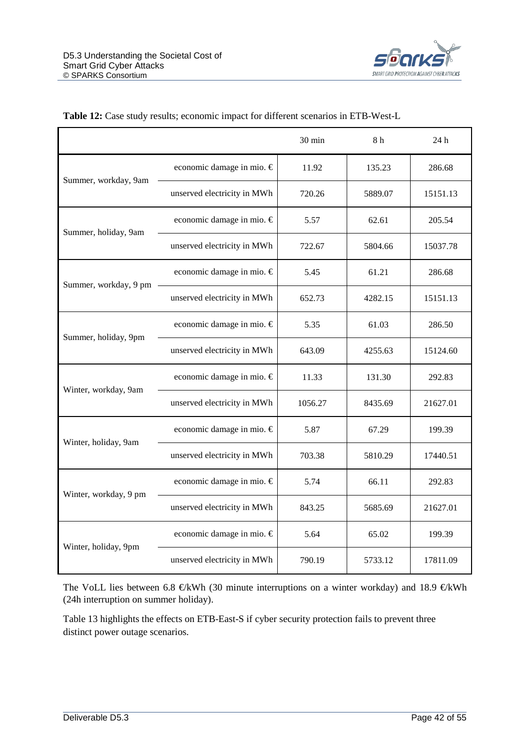

|                       |                               | 30 min  | 8 h     | 24 h     |
|-----------------------|-------------------------------|---------|---------|----------|
| Summer, workday, 9am  | economic damage in mio. €     | 11.92   | 135.23  | 286.68   |
|                       | unserved electricity in MWh   | 720.26  | 5889.07 | 15151.13 |
| Summer, holiday, 9am  | economic damage in mio. $\in$ | 5.57    | 62.61   | 205.54   |
|                       | unserved electricity in MWh   | 722.67  | 5804.66 | 15037.78 |
| Summer, workday, 9 pm | economic damage in mio. €     | 5.45    | 61.21   | 286.68   |
|                       | unserved electricity in MWh   | 652.73  | 4282.15 | 15151.13 |
| Summer, holiday, 9pm  | economic damage in mio. €     | 5.35    | 61.03   | 286.50   |
|                       | unserved electricity in MWh   | 643.09  | 4255.63 | 15124.60 |
|                       | economic damage in mio. €     | 11.33   | 131.30  | 292.83   |
| Winter, workday, 9am  | unserved electricity in MWh   | 1056.27 | 8435.69 | 21627.01 |
| Winter, holiday, 9am  | economic damage in mio. €     | 5.87    | 67.29   | 199.39   |
|                       | unserved electricity in MWh   | 703.38  | 5810.29 | 17440.51 |
| Winter, workday, 9 pm | economic damage in mio. €     | 5.74    | 66.11   | 292.83   |
|                       | unserved electricity in MWh   | 843.25  | 5685.69 | 21627.01 |
| Winter, holiday, 9pm  | economic damage in mio. €     | 5.64    | 65.02   | 199.39   |
|                       | unserved electricity in MWh   | 790.19  | 5733.12 | 17811.09 |

#### <span id="page-41-0"></span>**Table 12:** Case study results; economic impact for different scenarios in ETB-West-L

The VoLL lies between 6.8  $E$ kWh (30 minute interruptions on a winter workday) and 18.9  $E$ kWh (24h interruption on summer holiday).

[Table 13](#page-42-0) highlights the effects on ETB-East-S if cyber security protection fails to prevent three distinct power outage scenarios.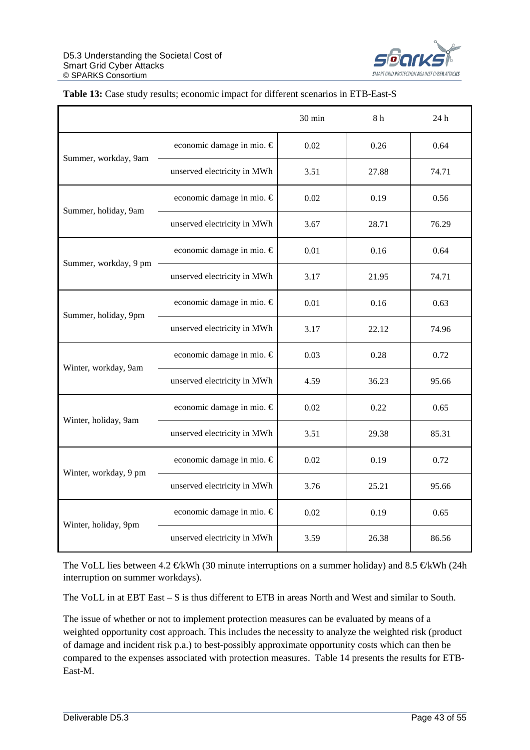

|                       |                               | 30 min | 8 h   | 24h   |
|-----------------------|-------------------------------|--------|-------|-------|
|                       | economic damage in mio. $\in$ | 0.02   | 0.26  | 0.64  |
| Summer, workday, 9am  | unserved electricity in MWh   | 3.51   | 27.88 | 74.71 |
| Summer, holiday, 9am  | economic damage in mio. €     | 0.02   | 0.19  | 0.56  |
|                       | unserved electricity in MWh   | 3.67   | 28.71 | 76.29 |
| Summer, workday, 9 pm | economic damage in mio. €     | 0.01   | 0.16  | 0.64  |
|                       | unserved electricity in MWh   | 3.17   | 21.95 | 74.71 |
| Summer, holiday, 9pm  | economic damage in mio. €     | 0.01   | 0.16  | 0.63  |
|                       | unserved electricity in MWh   | 3.17   | 22.12 | 74.96 |
| Winter, workday, 9am  | economic damage in mio. $\in$ | 0.03   | 0.28  | 0.72  |
|                       | unserved electricity in MWh   | 4.59   | 36.23 | 95.66 |
| Winter, holiday, 9am  | economic damage in mio. €     | 0.02   | 0.22  | 0.65  |
|                       | unserved electricity in MWh   | 3.51   | 29.38 | 85.31 |
| Winter, workday, 9 pm | economic damage in mio. €     | 0.02   | 0.19  | 0.72  |
|                       | unserved electricity in MWh   | 3.76   | 25.21 | 95.66 |
|                       | economic damage in mio. €     | 0.02   | 0.19  | 0.65  |
| Winter, holiday, 9pm  | unserved electricity in MWh   | 3.59   | 26.38 | 86.56 |

#### <span id="page-42-0"></span>**Table 13:** Case study results; economic impact for different scenarios in ETB-East-S

The VoLL lies between 4.2  $\in$ kWh (30 minute interruptions on a summer holiday) and 8.5  $\in$ kWh (24h) interruption on summer workdays).

The VoLL in at EBT East – S is thus different to ETB in areas North and West and similar to South.

The issue of whether or not to implement protection measures can be evaluated by means of a weighted opportunity cost approach. This includes the necessity to analyze the weighted risk (product of damage and incident risk p.a.) to best-possibly approximate opportunity costs which can then be compared to the expenses associated with protection measures. [Table 14](#page-43-0) presents the results for ETB-East-M.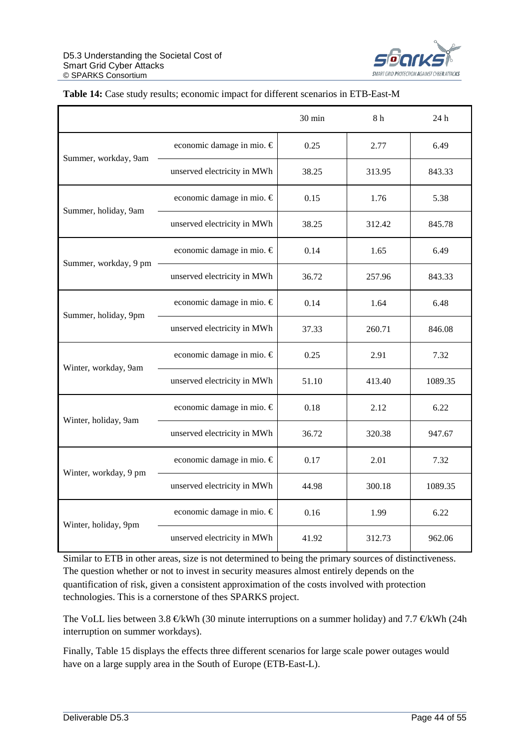

|                       |                                    | 30 min | 8h     | 24 h    |
|-----------------------|------------------------------------|--------|--------|---------|
|                       | economic damage in mio. $\in$      | 0.25   | 2.77   | 6.49    |
| Summer, workday, 9am  | unserved electricity in MWh        | 38.25  | 313.95 | 843.33  |
| Summer, holiday, 9am  | economic damage in mio. €          | 0.15   | 1.76   | 5.38    |
|                       | unserved electricity in MWh        | 38.25  | 312.42 | 845.78  |
| Summer, workday, 9 pm | economic damage in mio. $\in$      | 0.14   | 1.65   | 6.49    |
|                       | unserved electricity in MWh        | 36.72  | 257.96 | 843.33  |
|                       | economic damage in mio. €          | 0.14   | 1.64   | 6.48    |
| Summer, holiday, 9pm  | unserved electricity in MWh        | 37.33  | 260.71 | 846.08  |
| Winter, workday, 9am  | economic damage in mio. $\in$      | 0.25   | 2.91   | 7.32    |
|                       | unserved electricity in MWh        | 51.10  | 413.40 | 1089.35 |
| Winter, holiday, 9am  | economic damage in mio. €          | 0.18   | 2.12   | 6.22    |
|                       | unserved electricity in MWh        | 36.72  | 320.38 | 947.67  |
| Winter, workday, 9 pm | economic damage in mio. $\epsilon$ | 0.17   | 2.01   | 7.32    |
|                       | unserved electricity in MWh        | 44.98  | 300.18 | 1089.35 |
|                       | economic damage in mio. $\in$      | 0.16   | 1.99   | 6.22    |
| Winter, holiday, 9pm  | unserved electricity in MWh        | 41.92  | 312.73 | 962.06  |

#### <span id="page-43-0"></span>**Table 14:** Case study results; economic impact for different scenarios in ETB-East-M

Similar to ETB in other areas, size is not determined to being the primary sources of distinctiveness. The question whether or not to invest in security measures almost entirely depends on the quantification of risk, given a consistent approximation of the costs involved with protection technologies. This is a cornerstone of thes SPARKS project.

The VoLL lies between 3.8  $\in$ kWh (30 minute interruptions on a summer holiday) and 7.7  $\in$ kWh (24h) interruption on summer workdays).

Finally, [Table 15](#page-44-0) displays the effects three different scenarios for large scale power outages would have on a large supply area in the South of Europe (ETB-East-L).

 $\overline{\phantom{a}}$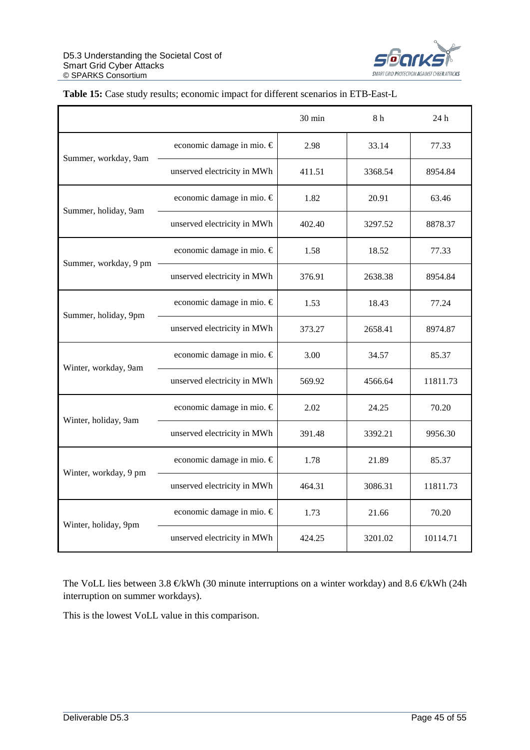

|                       |                               | $30 \text{ min}$ | 8h      | 24 h     |
|-----------------------|-------------------------------|------------------|---------|----------|
| Summer, workday, 9am  | economic damage in mio. $\in$ | 2.98             | 33.14   | 77.33    |
|                       | unserved electricity in MWh   | 411.51           | 3368.54 | 8954.84  |
| Summer, holiday, 9am  | economic damage in mio. €     | 1.82             | 20.91   | 63.46    |
|                       | unserved electricity in MWh   | 402.40           | 3297.52 | 8878.37  |
| Summer, workday, 9 pm | economic damage in mio. €     | 1.58             | 18.52   | 77.33    |
|                       | unserved electricity in MWh   | 376.91           | 2638.38 | 8954.84  |
| Summer, holiday, 9pm  | economic damage in mio. €     | 1.53             | 18.43   | 77.24    |
|                       | unserved electricity in MWh   | 373.27           | 2658.41 | 8974.87  |
| Winter, workday, 9am  | economic damage in mio. €     | 3.00             | 34.57   | 85.37    |
|                       | unserved electricity in MWh   | 569.92           | 4566.64 | 11811.73 |
| Winter, holiday, 9am  | economic damage in mio. €     | 2.02             | 24.25   | 70.20    |
|                       | unserved electricity in MWh   | 391.48           | 3392.21 | 9956.30  |
|                       | economic damage in mio. €     | 1.78             | 21.89   | 85.37    |
| Winter, workday, 9 pm | unserved electricity in MWh   | 464.31           | 3086.31 | 11811.73 |
| Winter, holiday, 9pm  | economic damage in mio. €     | 1.73             | 21.66   | 70.20    |
|                       | unserved electricity in MWh   | 424.25           | 3201.02 | 10114.71 |

#### <span id="page-44-0"></span>**Table 15:** Case study results; economic impact for different scenarios in ETB-East-L

The VoLL lies between 3.8  $E$ kWh (30 minute interruptions on a winter workday) and 8.6  $E$ kWh (24h) interruption on summer workdays).

This is the lowest VoLL value in this comparison.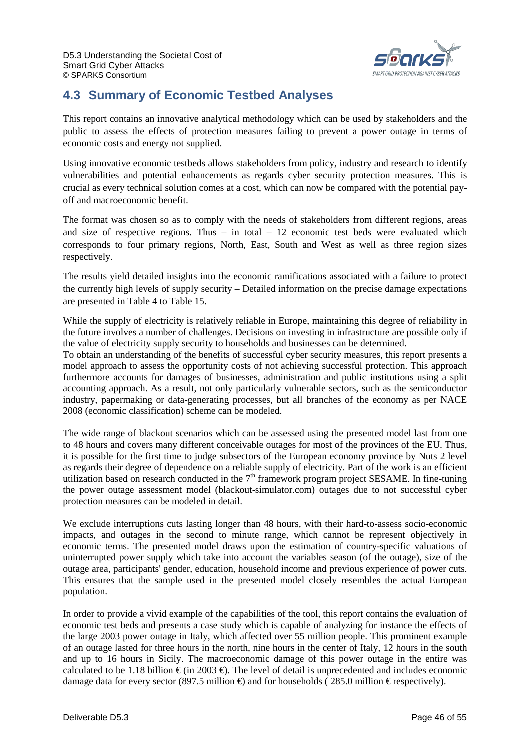

# <span id="page-45-0"></span>**4.3 Summary of Economic Testbed Analyses**

This report contains an innovative analytical methodology which can be used by stakeholders and the public to assess the effects of protection measures failing to prevent a power outage in terms of economic costs and energy not supplied.

Using innovative economic testbeds allows stakeholders from policy, industry and research to identify vulnerabilities and potential enhancements as regards cyber security protection measures. This is crucial as every technical solution comes at a cost, which can now be compared with the potential payoff and macroeconomic benefit.

The format was chosen so as to comply with the needs of stakeholders from different regions, areas and size of respective regions. Thus  $-$  in total  $-12$  economic test beds were evaluated which corresponds to four primary regions, North, East, South and West as well as three region sizes respectively.

The results yield detailed insights into the economic ramifications associated with a failure to protect the currently high levels of supply security – Detailed information on the precise damage expectations are presented in [Table 4](#page-33-0) to [Table 15.](#page-44-0)

While the supply of electricity is relatively reliable in Europe, maintaining this degree of reliability in the future involves a number of challenges. Decisions on investing in infrastructure are possible only if the value of electricity supply security to households and businesses can be determined.

To obtain an understanding of the benefits of successful cyber security measures, this report presents a model approach to assess the opportunity costs of not achieving successful protection. This approach furthermore accounts for damages of businesses, administration and public institutions using a split accounting approach. As a result, not only particularly vulnerable sectors, such as the semiconductor industry, papermaking or data-generating processes, but all branches of the economy as per NACE 2008 (economic classification) scheme can be modeled.

The wide range of blackout scenarios which can be assessed using the presented model last from one to 48 hours and covers many different conceivable outages for most of the provinces of the EU. Thus, it is possible for the first time to judge subsectors of the European economy province by Nuts 2 level as regards their degree of dependence on a reliable supply of electricity. Part of the work is an efficient utilization based on research conducted in the  $7<sup>th</sup>$  framework program project SESAME. In fine-tuning the power outage assessment model (blackout-simulator.com) outages due to not successful cyber protection measures can be modeled in detail.

We exclude interruptions cuts lasting longer than 48 hours, with their hard-to-assess socio-economic impacts, and outages in the second to minute range, which cannot be represent objectively in economic terms. The presented model draws upon the estimation of country-specific valuations of uninterrupted power supply which take into account the variables season (of the outage), size of the outage area, participants' gender, education, household income and previous experience of power cuts. This ensures that the sample used in the presented model closely resembles the actual European population.

In order to provide a vivid example of the capabilities of the tool, this report contains the evaluation of economic test beds and presents a case study which is capable of analyzing for instance the effects of the large 2003 power outage in Italy, which affected over 55 million people. This prominent example of an outage lasted for three hours in the north, nine hours in the center of Italy, 12 hours in the south and up to 16 hours in Sicily. The macroeconomic damage of this power outage in the entire was calculated to be 1.18 billion  $\epsilon$  (in 2003  $\epsilon$ ). The level of detail is unprecedented and includes economic damage data for every sector (897.5 million  $\oplus$  and for households (285.0 million € respectively).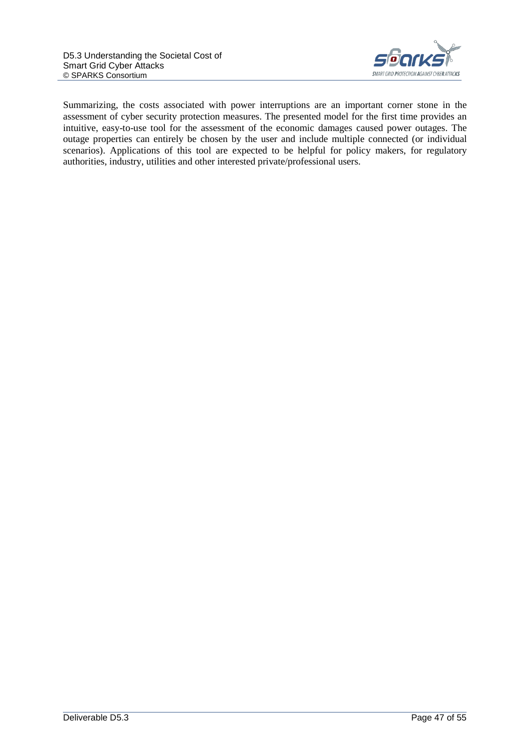

Summarizing, the costs associated with power interruptions are an important corner stone in the assessment of cyber security protection measures. The presented model for the first time provides an intuitive, easy-to-use tool for the assessment of the economic damages caused power outages. The outage properties can entirely be chosen by the user and include multiple connected (or individual scenarios). Applications of this tool are expected to be helpful for policy makers, for regulatory authorities, industry, utilities and other interested private/professional users.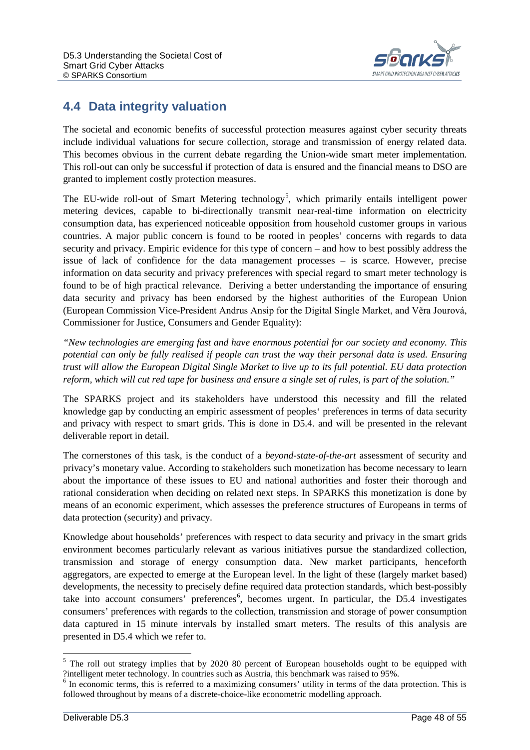

### <span id="page-47-0"></span>**4.4 Data integrity valuation**

The societal and economic benefits of successful protection measures against cyber security threats include individual valuations for secure collection, storage and transmission of energy related data. This becomes obvious in the current debate regarding the Union-wide smart meter implementation. This roll-out can only be successful if protection of data is ensured and the financial means to DSO are granted to implement costly protection measures.

The EU-wide roll-out of Smart Metering technology<sup>[5](#page-53-0)</sup>, which primarily entails intelligent power metering devices, capable to bi-directionally transmit near-real-time information on electricity consumption data, has experienced noticeable opposition from household customer groups in various countries. A major public concern is found to be rooted in peoples' concerns with regards to data security and privacy. Empiric evidence for this type of concern – and how to best possibly address the issue of lack of confidence for the data management processes – is scarce. However, precise information on data security and privacy preferences with special regard to smart meter technology is found to be of high practical relevance. Deriving a better understanding the importance of ensuring data security and privacy has been endorsed by the highest authorities of the European Union (European Commission Vice-President Andrus Ansip for the Digital Single Market, and Věra Jourová, Commissioner for Justice, Consumers and Gender Equality):

*"New technologies are emerging fast and have enormous potential for our society and economy. This potential can only be fully realised if people can trust the way their personal data is used. Ensuring trust will allow the European Digital Single Market to live up to its full potential. EU data protection reform, which will cut red tape for business and ensure a single set of rules, is part of the solution."*

The SPARKS project and its stakeholders have understood this necessity and fill the related knowledge gap by conducting an empiric assessment of peoples' preferences in terms of data security and privacy with respect to smart grids. This is done in D5.4. and will be presented in the relevant deliverable report in detail.

The cornerstones of this task, is the conduct of a *beyond-state-of-the-art* assessment of security and privacy's monetary value. According to stakeholders such monetization has become necessary to learn about the importance of these issues to EU and national authorities and foster their thorough and rational consideration when deciding on related next steps. In SPARKS this monetization is done by means of an economic experiment, which assesses the preference structures of Europeans in terms of data protection (security) and privacy.

Knowledge about households' preferences with respect to data security and privacy in the smart grids environment becomes particularly relevant as various initiatives pursue the standardized collection, transmission and storage of energy consumption data. New market participants, henceforth aggregators, are expected to emerge at the European level. In the light of these (largely market based) developments, the necessity to precisely define required data protection standards, which best-possibly take into account consumers' preferences<sup>[6](#page-53-1)</sup>, becomes urgent. In particular, the D5.4 investigates consumers' preferences with regards to the collection, transmission and storage of power consumption data captured in 15 minute intervals by installed smart meters. The results of this analysis are presented in D5.4 which we refer to.

 $5$  The roll out strategy implies that by 2020 80 percent of European households ought to be equipped with ?intelligent meter technology. In countries such as Austria, this benchmark was raised to 95%.

 $6$  In economic terms, this is referred to a maximizing consumers' utility in terms of the data protection. This is followed throughout by means of a discrete-choice-like econometric modelling approach.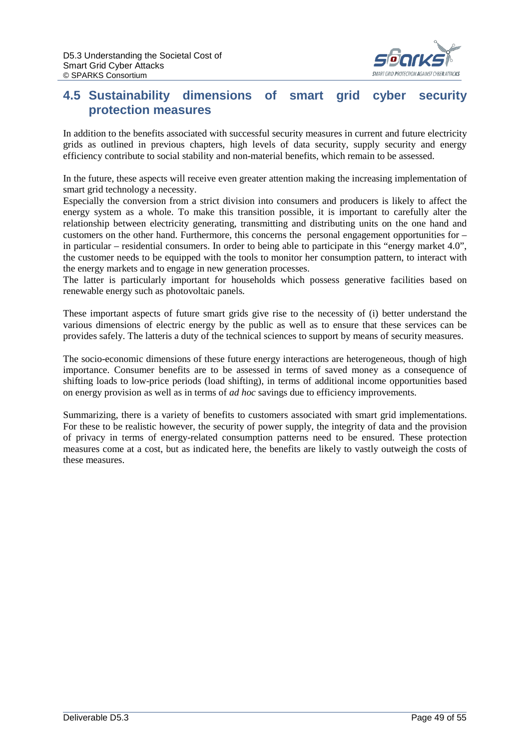

### <span id="page-48-0"></span>**4.5 Sustainability dimensions of smart grid cyber security protection measures**

In addition to the benefits associated with successful security measures in current and future electricity grids as outlined in previous chapters, high levels of data security, supply security and energy efficiency contribute to social stability and non-material benefits, which remain to be assessed.

In the future, these aspects will receive even greater attention making the increasing implementation of smart grid technology a necessity.

Especially the conversion from a strict division into consumers and producers is likely to affect the energy system as a whole. To make this transition possible, it is important to carefully alter the relationship between electricity generating, transmitting and distributing units on the one hand and customers on the other hand. Furthermore, this concerns the personal engagement opportunities for  $$ in particular – residential consumers. In order to being able to participate in this "energy market 4.0", the customer needs to be equipped with the tools to monitor her consumption pattern, to interact with the energy markets and to engage in new generation processes.

The latter is particularly important for households which possess generative facilities based on renewable energy such as photovoltaic panels.

These important aspects of future smart grids give rise to the necessity of (i) better understand the various dimensions of electric energy by the public as well as to ensure that these services can be provides safely. The latteris a duty of the technical sciences to support by means of security measures.

The socio-economic dimensions of these future energy interactions are heterogeneous, though of high importance. Consumer benefits are to be assessed in terms of saved money as a consequence of shifting loads to low-price periods (load shifting), in terms of additional income opportunities based on energy provision as well as in terms of *ad hoc* savings due to efficiency improvements.

Summarizing, there is a variety of benefits to customers associated with smart grid implementations. For these to be realistic however, the security of power supply, the integrity of data and the provision of privacy in terms of energy-related consumption patterns need to be ensured. These protection measures come at a cost, but as indicated here, the benefits are likely to vastly outweigh the costs of these measures.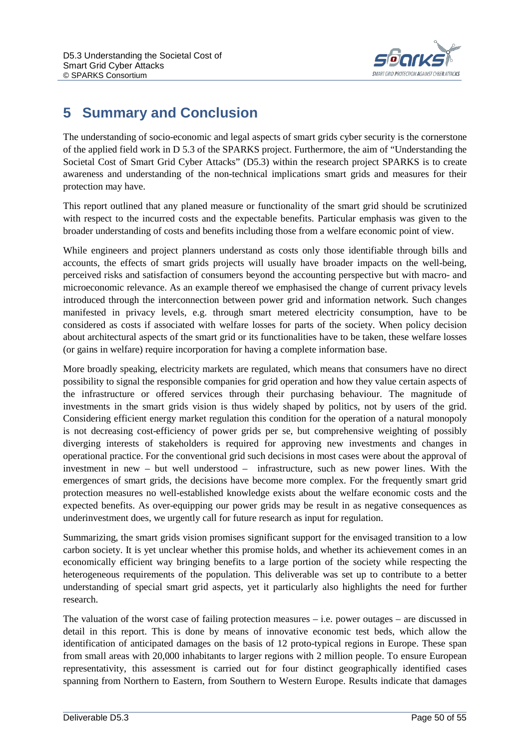

# <span id="page-49-0"></span>**5 Summary and Conclusion**

The understanding of socio-economic and legal aspects of smart grids cyber security is the cornerstone of the applied field work in D 5.3 of the SPARKS project. Furthermore, the aim of "Understanding the Societal Cost of Smart Grid Cyber Attacks" (D5.3) within the research project SPARKS is to create awareness and understanding of the non-technical implications smart grids and measures for their protection may have.

This report outlined that any planed measure or functionality of the smart grid should be scrutinized with respect to the incurred costs and the expectable benefits. Particular emphasis was given to the broader understanding of costs and benefits including those from a welfare economic point of view.

While engineers and project planners understand as costs only those identifiable through bills and accounts, the effects of smart grids projects will usually have broader impacts on the well-being, perceived risks and satisfaction of consumers beyond the accounting perspective but with macro- and microeconomic relevance. As an example thereof we emphasised the change of current privacy levels introduced through the interconnection between power grid and information network. Such changes manifested in privacy levels, e.g. through smart metered electricity consumption, have to be considered as costs if associated with welfare losses for parts of the society. When policy decision about architectural aspects of the smart grid or its functionalities have to be taken, these welfare losses (or gains in welfare) require incorporation for having a complete information base.

More broadly speaking, electricity markets are regulated, which means that consumers have no direct possibility to signal the responsible companies for grid operation and how they value certain aspects of the infrastructure or offered services through their purchasing behaviour. The magnitude of investments in the smart grids vision is thus widely shaped by politics, not by users of the grid. Considering efficient energy market regulation this condition for the operation of a natural monopoly is not decreasing cost-efficiency of power grids per se, but comprehensive weighting of possibly diverging interests of stakeholders is required for approving new investments and changes in operational practice. For the conventional grid such decisions in most cases were about the approval of investment in new – but well understood – infrastructure, such as new power lines. With the emergences of smart grids, the decisions have become more complex. For the frequently smart grid protection measures no well-established knowledge exists about the welfare economic costs and the expected benefits. As over-equipping our power grids may be result in as negative consequences as underinvestment does, we urgently call for future research as input for regulation.

Summarizing, the smart grids vision promises significant support for the envisaged transition to a low carbon society. It is yet unclear whether this promise holds, and whether its achievement comes in an economically efficient way bringing benefits to a large portion of the society while respecting the heterogeneous requirements of the population. This deliverable was set up to contribute to a better understanding of special smart grid aspects, yet it particularly also highlights the need for further research.

The valuation of the worst case of failing protection measures – i.e. power outages – are discussed in detail in this report. This is done by means of innovative economic test beds, which allow the identification of anticipated damages on the basis of 12 proto-typical regions in Europe. These span from small areas with 20,000 inhabitants to larger regions with 2 million people. To ensure European representativity, this assessment is carried out for four distinct geographically identified cases spanning from Northern to Eastern, from Southern to Western Europe. Results indicate that damages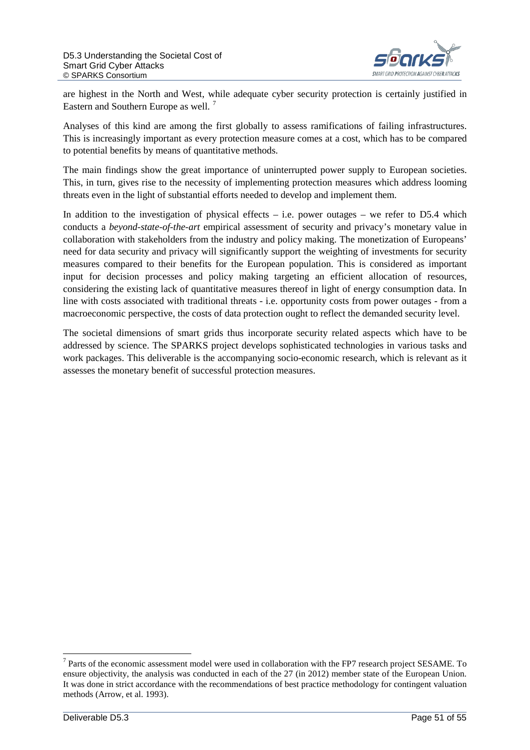

are highest in the North and West, while adequate cyber security protection is certainly justified in Eastern and Southern Europe as well.<sup>[7](#page-54-0)</sup>

Analyses of this kind are among the first globally to assess ramifications of failing infrastructures. This is increasingly important as every protection measure comes at a cost, which has to be compared to potential benefits by means of quantitative methods.

The main findings show the great importance of uninterrupted power supply to European societies. This, in turn, gives rise to the necessity of implementing protection measures which address looming threats even in the light of substantial efforts needed to develop and implement them.

In addition to the investigation of physical effects – i.e. power outages – we refer to  $D5.4$  which conducts a *beyond-state-of-the-art* empirical assessment of security and privacy's monetary value in collaboration with stakeholders from the industry and policy making. The monetization of Europeans' need for data security and privacy will significantly support the weighting of investments for security measures compared to their benefits for the European population. This is considered as important input for decision processes and policy making targeting an efficient allocation of resources, considering the existing lack of quantitative measures thereof in light of energy consumption data. In line with costs associated with traditional threats - i.e. opportunity costs from power outages - from a macroeconomic perspective, the costs of data protection ought to reflect the demanded security level.

The societal dimensions of smart grids thus incorporate security related aspects which have to be addressed by science. The SPARKS project develops sophisticated technologies in various tasks and work packages. This deliverable is the accompanying socio-economic research, which is relevant as it assesses the monetary benefit of successful protection measures.

 <sup>7</sup> Parts of the economic assessment model were used in collaboration with the FP7 research project SESAME. To ensure objectivity, the analysis was conducted in each of the 27 (in 2012) member state of the European Union. It was done in strict accordance with the recommendations of best practice methodology for contingent valuation methods (Arrow, et al. 1993).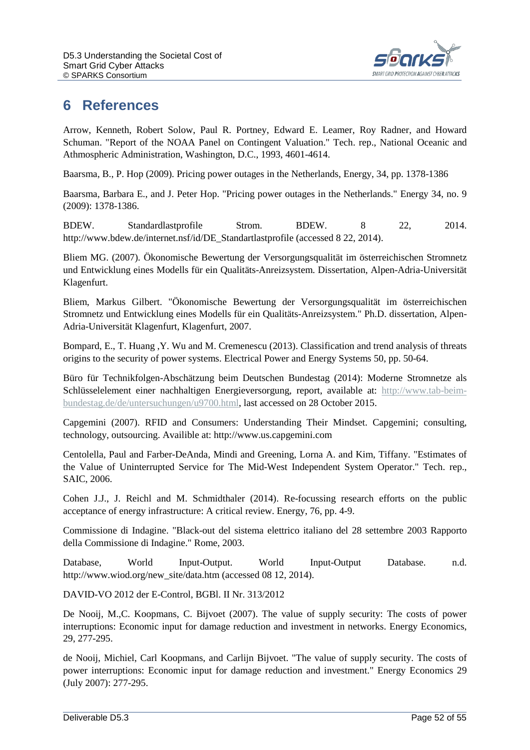

# <span id="page-51-0"></span>**6 References**

Arrow, Kenneth, Robert Solow, Paul R. Portney, Edward E. Leamer, Roy Radner, and Howard Schuman. "Report of the NOAA Panel on Contingent Valuation." Tech. rep., National Oceanic and Athmospheric Administration, Washington, D.C., 1993, 4601-4614.

Baarsma, B., P. Hop (2009). Pricing power outages in the Netherlands, Energy, 34, pp. 1378-1386

Baarsma, Barbara E., and J. Peter Hop. "Pricing power outages in the Netherlands." Energy 34, no. 9 (2009): 1378-1386.

BDEW. Standardlastprofile Strom. BDEW. 8 22, 2014. http://www.bdew.de/internet.nsf/id/DE\_Standartlastprofile (accessed 8 22, 2014).

Bliem MG. (2007). Ökonomische Bewertung der Versorgungsqualität im österreichischen Stromnetz und Entwicklung eines Modells für ein Qualitäts-Anreizsystem. Dissertation, Alpen-Adria-Universität Klagenfurt.

Bliem, Markus Gilbert. "Ökonomische Bewertung der Versorgungsqualität im österreichischen Stromnetz und Entwicklung eines Modells für ein Qualitäts-Anreizsystem." Ph.D. dissertation, Alpen-Adria-Universität Klagenfurt, Klagenfurt, 2007.

Bompard, E., T. Huang ,Y. Wu and M. Cremenescu (2013). Classification and trend analysis of threats origins to the security of power systems. Electrical Power and Energy Systems 50, pp. 50-64.

Büro für Technikfolgen-Abschätzung beim Deutschen Bundestag (2014): Moderne Stromnetze als Schlüsselelement einer nachhaltigen Energieversorgung, report, available at: [http://www.tab-beim](http://www.tab-beim-bundestag.de/de/untersuchungen/u9700.html)[bundestag.de/de/untersuchungen/u9700.html,](http://www.tab-beim-bundestag.de/de/untersuchungen/u9700.html) last accessed on 28 October 2015.

Capgemini (2007). RFID and Consumers: Understanding Their Mindset. Capgemini; consulting, technology, outsourcing. Availible at: http://www.us.capgemini.com

Centolella, Paul and Farber-DeAnda, Mindi and Greening, Lorna A. and Kim, Tiffany. "Estimates of the Value of Uninterrupted Service for The Mid-West Independent System Operator." Tech. rep., SAIC, 2006.

Cohen J.J., J. Reichl and M. Schmidthaler (2014). Re-focussing research efforts on the public acceptance of energy infrastructure: A critical review. Energy, 76, pp. 4-9.

Commissione di Indagine. "Black-out del sistema elettrico italiano del 28 settembre 2003 Rapporto della Commissione di Indagine." Rome, 2003.

Database, World Input-Output. World Input-Output Database. n.d. http://www.wiod.org/new\_site/data.htm (accessed 08 12, 2014).

DAVID-VO 2012 der E-Control, BGBl. II Nr. 313/2012

De Nooij, M.,C. Koopmans, C. Bijvoet (2007). The value of supply security: The costs of power interruptions: Economic input for damage reduction and investment in networks. Energy Economics, 29, 277-295.

de Nooij, Michiel, Carl Koopmans, and Carlijn Bijvoet. "The value of supply security. The costs of power interruptions: Economic input for damage reduction and investment." Energy Economics 29 (July 2007): 277-295.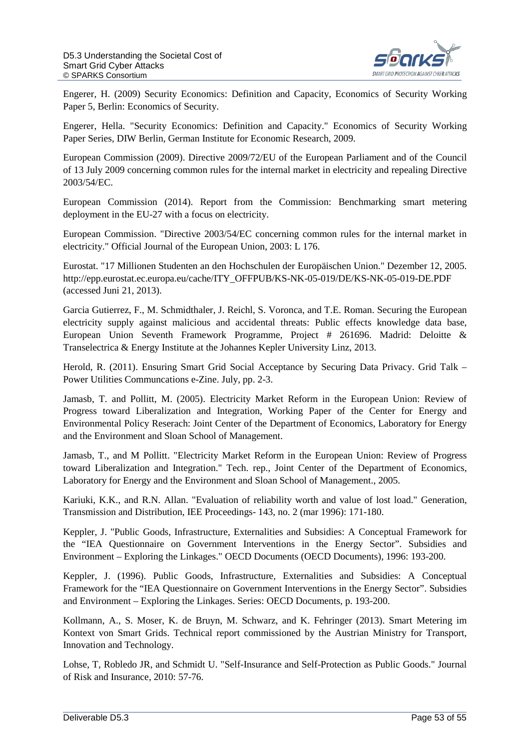

Engerer, H. (2009) Security Economics: Definition and Capacity, Economics of Security Working Paper 5, Berlin: Economics of Security.

Engerer, Hella. "Security Economics: Definition and Capacity." Economics of Security Working Paper Series, DIW Berlin, German Institute for Economic Research, 2009.

European Commission (2009). Directive 2009/72/EU of the European Parliament and of the Council of 13 July 2009 concerning common rules for the internal market in electricity and repealing Directive 2003/54/EC.

European Commission (2014). Report from the Commission: Benchmarking smart metering deployment in the EU-27 with a focus on electricity.

European Commission. "Directive 2003/54/EC concerning common rules for the internal market in electricity." Official Journal of the European Union, 2003: L 176.

Eurostat. "17 Millionen Studenten an den Hochschulen der Europäischen Union." Dezember 12, 2005. http://epp.eurostat.ec.europa.eu/cache/ITY\_OFFPUB/KS-NK-05-019/DE/KS-NK-05-019-DE.PDF (accessed Juni 21, 2013).

Garcia Gutierrez, F., M. Schmidthaler, J. Reichl, S. Voronca, and T.E. Roman. Securing the European electricity supply against malicious and accidental threats: Public effects knowledge data base, European Union Seventh Framework Programme, Project # 261696. Madrid: Deloitte & Transelectrica & Energy Institute at the Johannes Kepler University Linz, 2013.

Herold, R. (2011). Ensuring Smart Grid Social Acceptance by Securing Data Privacy. Grid Talk – Power Utilities Communcations e-Zine. July, pp. 2-3.

Jamasb, T. and Pollitt, M. (2005). Electricity Market Reform in the European Union: Review of Progress toward Liberalization and Integration, Working Paper of the Center for Energy and Environmental Policy Reserach: Joint Center of the Department of Economics, Laboratory for Energy and the Environment and Sloan School of Management.

Jamasb, T., and M Pollitt. "Electricity Market Reform in the European Union: Review of Progress toward Liberalization and Integration." Tech. rep., Joint Center of the Department of Economics, Laboratory for Energy and the Environment and Sloan School of Management., 2005.

Kariuki, K.K., and R.N. Allan. "Evaluation of reliability worth and value of lost load." Generation, Transmission and Distribution, IEE Proceedings- 143, no. 2 (mar 1996): 171-180.

Keppler, J. "Public Goods, Infrastructure, Externalities and Subsidies: A Conceptual Framework for the "IEA Questionnaire on Government Interventions in the Energy Sector". Subsidies and Environment – Exploring the Linkages." OECD Documents (OECD Documents), 1996: 193-200.

Keppler, J. (1996). Public Goods, Infrastructure, Externalities and Subsidies: A Conceptual Framework for the "IEA Questionnaire on Government Interventions in the Energy Sector". Subsidies and Environment – Exploring the Linkages. Series: OECD Documents, p. 193-200.

Kollmann, A., S. Moser, K. de Bruyn, M. Schwarz, and K. Fehringer (2013). Smart Metering im Kontext von Smart Grids. Technical report commissioned by the Austrian Ministry for Transport, Innovation and Technology.

Lohse, T, Robledo JR, and Schmidt U. "Self-Insurance and Self-Protection as Public Goods." Journal of Risk and Insurance, 2010: 57-76.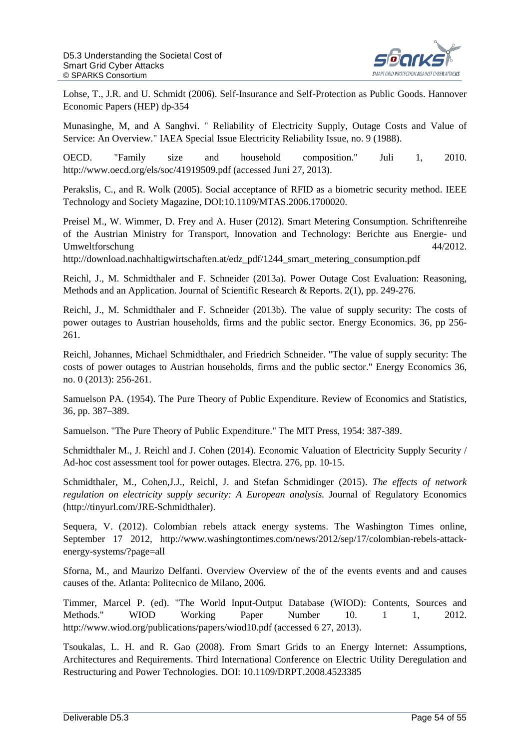

Lohse, T., J.R. and U. Schmidt (2006). Self-Insurance and Self-Protection as Public Goods. Hannover Economic Papers (HEP) dp-354

Munasinghe, M, and A Sanghvi. " Reliability of Electricity Supply, Outage Costs and Value of Service: An Overview." IAEA Special Issue Electricity Reliability Issue, no. 9 (1988).

OECD. "Family size and household composition." Juli 1, 2010. http://www.oecd.org/els/soc/41919509.pdf (accessed Juni 27, 2013).

Perakslis, C., and R. Wolk (2005). Social acceptance of RFID as a biometric security method. IEEE Technology and Society Magazine, DOI:10.1109/MTAS.2006.1700020.

Preisel M., W. Wimmer, D. Frey and A. Huser (2012). Smart Metering Consumption. Schriftenreihe of the Austrian Ministry for Transport, Innovation and Technology: Berichte aus Energie- und Umweltforschung 44/2012.

http://download.nachhaltigwirtschaften.at/edz\_pdf/1244\_smart\_metering\_consumption.pdf

Reichl, J., M. Schmidthaler and F. Schneider (2013a). Power Outage Cost Evaluation: Reasoning, Methods and an Application. Journal of Scientific Research & Reports. 2(1), pp. 249-276.

Reichl, J., M. Schmidthaler and F. Schneider (2013b). The value of supply security: The costs of power outages to Austrian households, firms and the public sector. Energy Economics. 36, pp 256- 261.

Reichl, Johannes, Michael Schmidthaler, and Friedrich Schneider. "The value of supply security: The costs of power outages to Austrian households, firms and the public sector." Energy Economics 36, no. 0 (2013): 256-261.

Samuelson PA. (1954). The Pure Theory of Public Expenditure. Review of Economics and Statistics, 36, pp. 387–389.

Samuelson. "The Pure Theory of Public Expenditure." The MIT Press, 1954: 387-389.

Schmidthaler M., J. Reichl and J. Cohen (2014). Economic Valuation of Electricity Supply Security / Ad-hoc cost assessment tool for power outages. Electra. 276, pp. 10-15.

Schmidthaler, M., Cohen,J.J., Reichl, J. and Stefan Schmidinger (2015). *The effects of network regulation on electricity supply security: A European analysis*. Journal of Regulatory Economics (http://tinyurl.com/JRE-Schmidthaler).

Sequera, V. (2012). Colombian rebels attack energy systems. The Washington Times online, September 17 2012, http://www.washingtontimes.com/news/2012/sep/17/colombian-rebels-attackenergy-systems/?page=all

Sforna, M., and Maurizo Delfanti. Overview Overview of the of the events events and and causes causes of the. Atlanta: Politecnico de Milano, 2006.

Timmer, Marcel P. (ed). "The World Input-Output Database (WIOD): Contents, Sources and Methods." WIOD Working Paper Number 10. 1 1, 2012. http://www.wiod.org/publications/papers/wiod10.pdf (accessed 6 27, 2013).

<span id="page-53-1"></span><span id="page-53-0"></span>Tsoukalas, L. H. and R. Gao (2008). From Smart Grids to an Energy Internet: Assumptions, Architectures and Requirements. Third International Conference on Electric Utility Deregulation and Restructuring and Power Technologies. DOI: 10.1109/DRPT.2008.4523385